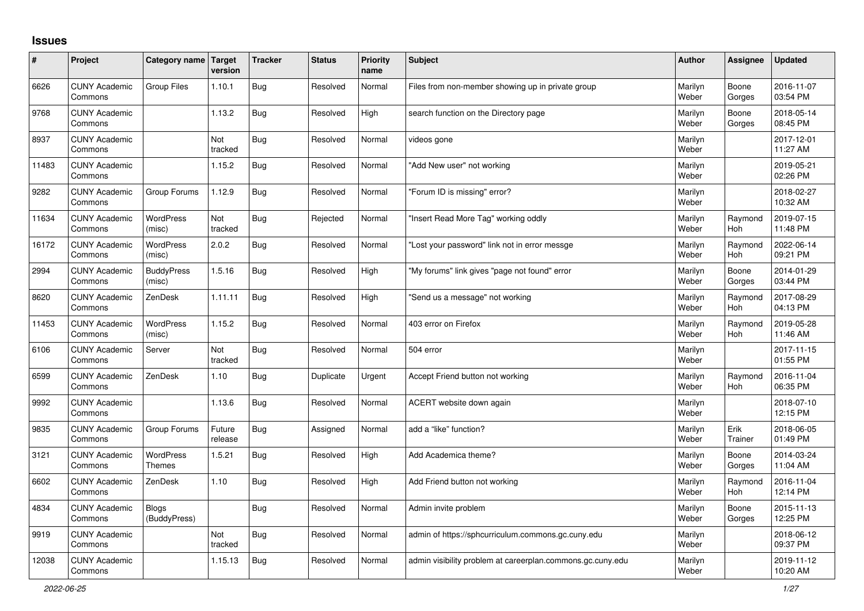## **Issues**

| ∦     | Project                         | Category name   Target       | version           | <b>Tracker</b> | <b>Status</b> | Priority<br>name | <b>Subject</b>                                             | Author           | Assignee              | <b>Updated</b>         |
|-------|---------------------------------|------------------------------|-------------------|----------------|---------------|------------------|------------------------------------------------------------|------------------|-----------------------|------------------------|
| 6626  | <b>CUNY Academic</b><br>Commons | <b>Group Files</b>           | 1.10.1            | <b>Bug</b>     | Resolved      | Normal           | Files from non-member showing up in private group          | Marilyn<br>Weber | Boone<br>Gorges       | 2016-11-07<br>03:54 PM |
| 9768  | <b>CUNY Academic</b><br>Commons |                              | 1.13.2            | <b>Bug</b>     | Resolved      | High             | search function on the Directory page                      | Marilyn<br>Weber | Boone<br>Gorges       | 2018-05-14<br>08:45 PM |
| 8937  | <b>CUNY Academic</b><br>Commons |                              | Not<br>tracked    | <b>Bug</b>     | Resolved      | Normal           | videos gone                                                | Marilyn<br>Weber |                       | 2017-12-01<br>11:27 AM |
| 11483 | <b>CUNY Academic</b><br>Commons |                              | 1.15.2            | <b>Bug</b>     | Resolved      | Normal           | "Add New user" not working                                 | Marilyn<br>Weber |                       | 2019-05-21<br>02:26 PM |
| 9282  | <b>CUNY Academic</b><br>Commons | Group Forums                 | 1.12.9            | Bug            | Resolved      | Normal           | "Forum ID is missing" error?                               | Marilyn<br>Weber |                       | 2018-02-27<br>10:32 AM |
| 11634 | <b>CUNY Academic</b><br>Commons | WordPress<br>(misc)          | Not<br>tracked    | <b>Bug</b>     | Rejected      | Normal           | "Insert Read More Tag" working oddly                       | Marilyn<br>Weber | Raymond<br>Hoh        | 2019-07-15<br>11:48 PM |
| 16172 | <b>CUNY Academic</b><br>Commons | <b>WordPress</b><br>(misc)   | 2.0.2             | Bug            | Resolved      | Normal           | "Lost your password" link not in error messge              | Marilyn<br>Weber | Raymond<br><b>Hoh</b> | 2022-06-14<br>09:21 PM |
| 2994  | <b>CUNY Academic</b><br>Commons | <b>BuddyPress</b><br>(misc)  | 1.5.16            | <b>Bug</b>     | Resolved      | High             | "My forums" link gives "page not found" error              | Marilyn<br>Weber | Boone<br>Gorges       | 2014-01-29<br>03:44 PM |
| 8620  | <b>CUNY Academic</b><br>Commons | ZenDesk                      | 1.11.11           | <b>Bug</b>     | Resolved      | High             | "Send us a message" not working                            | Marilyn<br>Weber | Raymond<br><b>Hoh</b> | 2017-08-29<br>04:13 PM |
| 11453 | <b>CUNY Academic</b><br>Commons | <b>WordPress</b><br>(misc)   | 1.15.2            | <b>Bug</b>     | Resolved      | Normal           | 403 error on Firefox                                       | Marilyn<br>Weber | Raymond<br>Hoh        | 2019-05-28<br>11:46 AM |
| 6106  | <b>CUNY Academic</b><br>Commons | Server                       | Not<br>tracked    | <b>Bug</b>     | Resolved      | Normal           | 504 error                                                  | Marilyn<br>Weber |                       | 2017-11-15<br>01:55 PM |
| 6599  | <b>CUNY Academic</b><br>Commons | ZenDesk                      | 1.10              | Bug            | Duplicate     | Urgent           | Accept Friend button not working                           | Marilyn<br>Weber | Raymond<br><b>Hoh</b> | 2016-11-04<br>06:35 PM |
| 9992  | <b>CUNY Academic</b><br>Commons |                              | 1.13.6            | <b>Bug</b>     | Resolved      | Normal           | ACERT website down again                                   | Marilyn<br>Weber |                       | 2018-07-10<br>12:15 PM |
| 9835  | <b>CUNY Academic</b><br>Commons | Group Forums                 | Future<br>release | <b>Bug</b>     | Assigned      | Normal           | add a "like" function?                                     | Marilyn<br>Weber | Erik<br>Trainer       | 2018-06-05<br>01:49 PM |
| 3121  | <b>CUNY Academic</b><br>Commons | WordPress<br><b>Themes</b>   | 1.5.21            | <b>Bug</b>     | Resolved      | High             | Add Academica theme?                                       | Marilyn<br>Weber | Boone<br>Gorges       | 2014-03-24<br>11:04 AM |
| 6602  | <b>CUNY Academic</b><br>Commons | ZenDesk                      | 1.10              | <b>Bug</b>     | Resolved      | High             | Add Friend button not working                              | Marilyn<br>Weber | Raymond<br><b>Hoh</b> | 2016-11-04<br>12:14 PM |
| 4834  | <b>CUNY Academic</b><br>Commons | <b>Blogs</b><br>(BuddyPress) |                   | <b>Bug</b>     | Resolved      | Normal           | Admin invite problem                                       | Marilyn<br>Weber | Boone<br>Gorges       | 2015-11-13<br>12:25 PM |
| 9919  | <b>CUNY Academic</b><br>Commons |                              | Not<br>tracked    | <b>Bug</b>     | Resolved      | Normal           | admin of https://sphcurriculum.commons.gc.cuny.edu         | Marilyn<br>Weber |                       | 2018-06-12<br>09:37 PM |
| 12038 | <b>CUNY Academic</b><br>Commons |                              | 1.15.13           | Bug            | Resolved      | Normal           | admin visibility problem at careerplan.commons.gc.cuny.edu | Marilyn<br>Weber |                       | 2019-11-12<br>10:20 AM |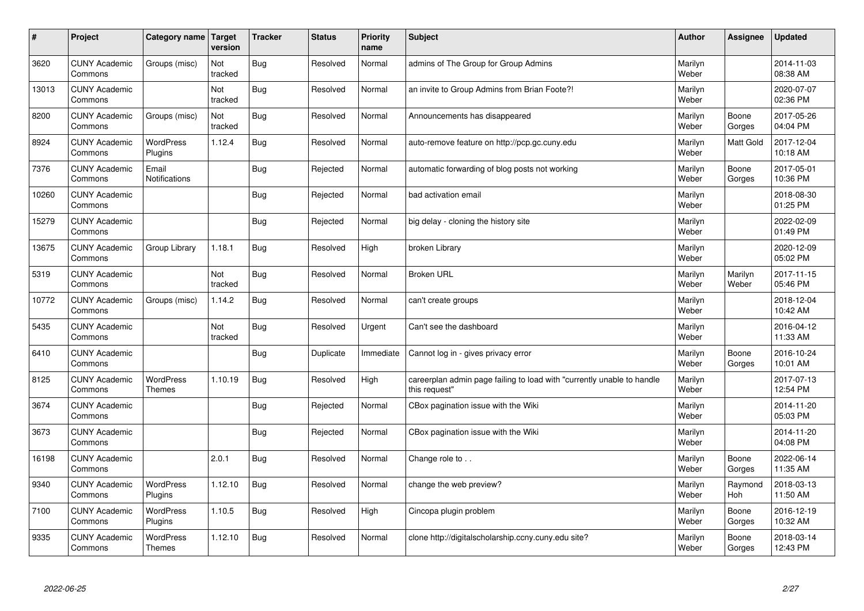| #     | Project                         | Category name   Target            | version        | <b>Tracker</b> | <b>Status</b> | <b>Priority</b><br>name | <b>Subject</b>                                                                          | <b>Author</b>    | Assignee              | <b>Updated</b>         |
|-------|---------------------------------|-----------------------------------|----------------|----------------|---------------|-------------------------|-----------------------------------------------------------------------------------------|------------------|-----------------------|------------------------|
| 3620  | <b>CUNY Academic</b><br>Commons | Groups (misc)                     | Not<br>tracked | <b>Bug</b>     | Resolved      | Normal                  | admins of The Group for Group Admins                                                    | Marilyn<br>Weber |                       | 2014-11-03<br>08:38 AM |
| 13013 | <b>CUNY Academic</b><br>Commons |                                   | Not<br>tracked | Bug            | Resolved      | Normal                  | an invite to Group Admins from Brian Foote?!                                            | Marilyn<br>Weber |                       | 2020-07-07<br>02:36 PM |
| 8200  | <b>CUNY Academic</b><br>Commons | Groups (misc)                     | Not<br>tracked | Bug            | Resolved      | Normal                  | Announcements has disappeared                                                           | Marilyn<br>Weber | Boone<br>Gorges       | 2017-05-26<br>04:04 PM |
| 8924  | <b>CUNY Academic</b><br>Commons | <b>WordPress</b><br>Plugins       | 1.12.4         | Bug            | Resolved      | Normal                  | auto-remove feature on http://pcp.gc.cuny.edu                                           | Marilyn<br>Weber | <b>Matt Gold</b>      | 2017-12-04<br>10:18 AM |
| 7376  | <b>CUNY Academic</b><br>Commons | Email<br>Notifications            |                | Bug            | Rejected      | Normal                  | automatic forwarding of blog posts not working                                          | Marilyn<br>Weber | Boone<br>Gorges       | 2017-05-01<br>10:36 PM |
| 10260 | <b>CUNY Academic</b><br>Commons |                                   |                | Bug            | Rejected      | Normal                  | bad activation email                                                                    | Marilyn<br>Weber |                       | 2018-08-30<br>01:25 PM |
| 15279 | <b>CUNY Academic</b><br>Commons |                                   |                | Bug            | Rejected      | Normal                  | big delay - cloning the history site                                                    | Marilyn<br>Weber |                       | 2022-02-09<br>01:49 PM |
| 13675 | <b>CUNY Academic</b><br>Commons | Group Library                     | 1.18.1         | Bug            | Resolved      | High                    | broken Library                                                                          | Marilyn<br>Weber |                       | 2020-12-09<br>05:02 PM |
| 5319  | <b>CUNY Academic</b><br>Commons |                                   | Not<br>tracked | Bug            | Resolved      | Normal                  | <b>Broken URL</b>                                                                       | Marilyn<br>Weber | Marilyn<br>Weber      | 2017-11-15<br>05:46 PM |
| 10772 | <b>CUNY Academic</b><br>Commons | Groups (misc)                     | 1.14.2         | Bug            | Resolved      | Normal                  | can't create groups                                                                     | Marilyn<br>Weber |                       | 2018-12-04<br>10:42 AM |
| 5435  | <b>CUNY Academic</b><br>Commons |                                   | Not<br>tracked | Bug            | Resolved      | Urgent                  | Can't see the dashboard                                                                 | Marilyn<br>Weber |                       | 2016-04-12<br>11:33 AM |
| 6410  | <b>CUNY Academic</b><br>Commons |                                   |                | Bug            | Duplicate     | Immediate               | Cannot log in - gives privacy error                                                     | Marilyn<br>Weber | Boone<br>Gorges       | 2016-10-24<br>10:01 AM |
| 8125  | <b>CUNY Academic</b><br>Commons | <b>WordPress</b><br><b>Themes</b> | 1.10.19        | Bug            | Resolved      | High                    | careerplan admin page failing to load with "currently unable to handle<br>this request" | Marilyn<br>Weber |                       | 2017-07-13<br>12:54 PM |
| 3674  | <b>CUNY Academic</b><br>Commons |                                   |                | Bug            | Rejected      | Normal                  | CBox pagination issue with the Wiki                                                     | Marilyn<br>Weber |                       | 2014-11-20<br>05:03 PM |
| 3673  | <b>CUNY Academic</b><br>Commons |                                   |                | Bug            | Rejected      | Normal                  | CBox pagination issue with the Wiki                                                     | Marilyn<br>Weber |                       | 2014-11-20<br>04:08 PM |
| 16198 | <b>CUNY Academic</b><br>Commons |                                   | 2.0.1          | Bug            | Resolved      | Normal                  | Change role to                                                                          | Marilyn<br>Weber | Boone<br>Gorges       | 2022-06-14<br>11:35 AM |
| 9340  | <b>CUNY Academic</b><br>Commons | WordPress<br>Plugins              | 1.12.10        | Bug            | Resolved      | Normal                  | change the web preview?                                                                 | Marilyn<br>Weber | Raymond<br><b>Hoh</b> | 2018-03-13<br>11:50 AM |
| 7100  | <b>CUNY Academic</b><br>Commons | <b>WordPress</b><br>Plugins       | 1.10.5         | Bug            | Resolved      | High                    | Cincopa plugin problem                                                                  | Marilyn<br>Weber | Boone<br>Gorges       | 2016-12-19<br>10:32 AM |
| 9335  | <b>CUNY Academic</b><br>Commons | <b>WordPress</b><br><b>Themes</b> | 1.12.10        | Bug            | Resolved      | Normal                  | clone http://digitalscholarship.ccny.cuny.edu site?                                     | Marilyn<br>Weber | Boone<br>Gorges       | 2018-03-14<br>12:43 PM |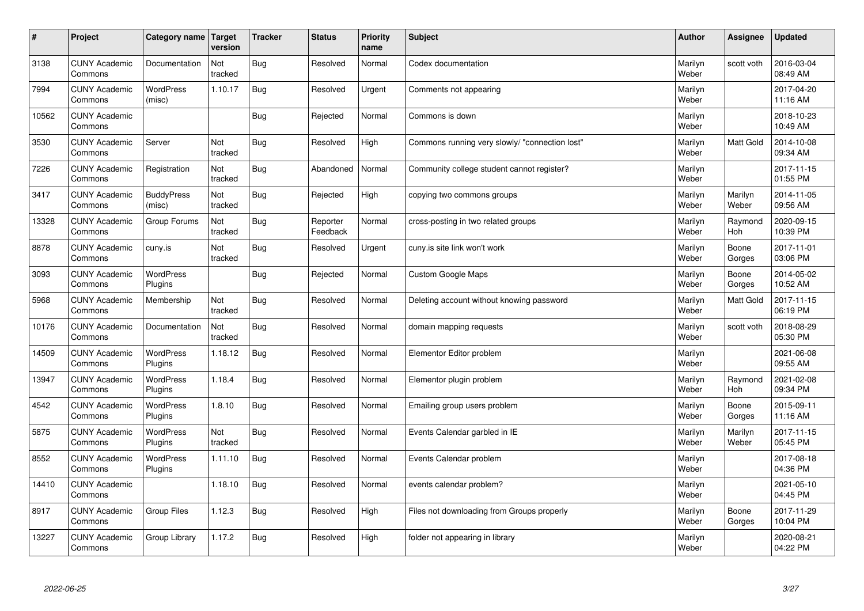| $\sharp$ | Project                         | Category name   Target      | version        | <b>Tracker</b> | <b>Status</b>        | <b>Priority</b><br>name | <b>Subject</b>                                 | <b>Author</b>    | Assignee         | Updated                |
|----------|---------------------------------|-----------------------------|----------------|----------------|----------------------|-------------------------|------------------------------------------------|------------------|------------------|------------------------|
| 3138     | <b>CUNY Academic</b><br>Commons | Documentation               | Not<br>tracked | Bug            | Resolved             | Normal                  | Codex documentation                            | Marilyn<br>Weber | scott voth       | 2016-03-04<br>08:49 AM |
| 7994     | <b>CUNY Academic</b><br>Commons | <b>WordPress</b><br>(misc)  | 1.10.17        | Bug            | Resolved             | Urgent                  | Comments not appearing                         | Marilyn<br>Weber |                  | 2017-04-20<br>11:16 AM |
| 10562    | <b>CUNY Academic</b><br>Commons |                             |                | Bug            | Rejected             | Normal                  | Commons is down                                | Marilyn<br>Weber |                  | 2018-10-23<br>10:49 AM |
| 3530     | <b>CUNY Academic</b><br>Commons | Server                      | Not<br>tracked | Bug            | Resolved             | High                    | Commons running very slowly/ "connection lost" | Marilyn<br>Weber | Matt Gold        | 2014-10-08<br>09:34 AM |
| 7226     | <b>CUNY Academic</b><br>Commons | Registration                | Not<br>tracked | Bug            | Abandoned            | Normal                  | Community college student cannot register?     | Marilyn<br>Weber |                  | 2017-11-15<br>01:55 PM |
| 3417     | <b>CUNY Academic</b><br>Commons | <b>BuddyPress</b><br>(misc) | Not<br>tracked | Bug            | Rejected             | High                    | copying two commons groups                     | Marilyn<br>Weber | Marilyn<br>Weber | 2014-11-05<br>09:56 AM |
| 13328    | <b>CUNY Academic</b><br>Commons | Group Forums                | Not<br>tracked | Bug            | Reporter<br>Feedback | Normal                  | cross-posting in two related groups            | Marilyn<br>Weber | Raymond<br>Hoh   | 2020-09-15<br>10:39 PM |
| 8878     | <b>CUNY Academic</b><br>Commons | cuny.is                     | Not<br>tracked | Bug            | Resolved             | Urgent                  | cuny is site link won't work                   | Marilyn<br>Weber | Boone<br>Gorges  | 2017-11-01<br>03:06 PM |
| 3093     | <b>CUNY Academic</b><br>Commons | <b>WordPress</b><br>Plugins |                | Bug            | Rejected             | Normal                  | Custom Google Maps                             | Marilyn<br>Weber | Boone<br>Gorges  | 2014-05-02<br>10:52 AM |
| 5968     | <b>CUNY Academic</b><br>Commons | Membership                  | Not<br>tracked | Bug            | Resolved             | Normal                  | Deleting account without knowing password      | Marilyn<br>Weber | Matt Gold        | 2017-11-15<br>06:19 PM |
| 10176    | <b>CUNY Academic</b><br>Commons | Documentation               | Not<br>tracked | Bug            | Resolved             | Normal                  | domain mapping requests                        | Marilyn<br>Weber | scott voth       | 2018-08-29<br>05:30 PM |
| 14509    | <b>CUNY Academic</b><br>Commons | <b>WordPress</b><br>Plugins | 1.18.12        | <b>Bug</b>     | Resolved             | Normal                  | Elementor Editor problem                       | Marilyn<br>Weber |                  | 2021-06-08<br>09:55 AM |
| 13947    | <b>CUNY Academic</b><br>Commons | <b>WordPress</b><br>Plugins | 1.18.4         | Bug            | Resolved             | Normal                  | Elementor plugin problem                       | Marilyn<br>Weber | Raymond<br>Hoh   | 2021-02-08<br>09:34 PM |
| 4542     | <b>CUNY Academic</b><br>Commons | <b>WordPress</b><br>Plugins | 1.8.10         | Bug            | Resolved             | Normal                  | Emailing group users problem                   | Marilyn<br>Weber | Boone<br>Gorges  | 2015-09-11<br>11:16 AM |
| 5875     | <b>CUNY Academic</b><br>Commons | <b>WordPress</b><br>Plugins | Not<br>tracked | Bug            | Resolved             | Normal                  | Events Calendar garbled in IE                  | Marilyn<br>Weber | Marilyn<br>Weber | 2017-11-15<br>05:45 PM |
| 8552     | <b>CUNY Academic</b><br>Commons | WordPress<br>Plugins        | 1.11.10        | Bug            | Resolved             | Normal                  | Events Calendar problem                        | Marilyn<br>Weber |                  | 2017-08-18<br>04:36 PM |
| 14410    | <b>CUNY Academic</b><br>Commons |                             | 1.18.10        | Bug            | Resolved             | Normal                  | events calendar problem?                       | Marilyn<br>Weber |                  | 2021-05-10<br>04:45 PM |
| 8917     | <b>CUNY Academic</b><br>Commons | <b>Group Files</b>          | 1.12.3         | Bug            | Resolved             | High                    | Files not downloading from Groups properly     | Marilyn<br>Weber | Boone<br>Gorges  | 2017-11-29<br>10:04 PM |
| 13227    | <b>CUNY Academic</b><br>Commons | Group Library               | 1.17.2         | Bug            | Resolved             | High                    | folder not appearing in library                | Marilyn<br>Weber |                  | 2020-08-21<br>04:22 PM |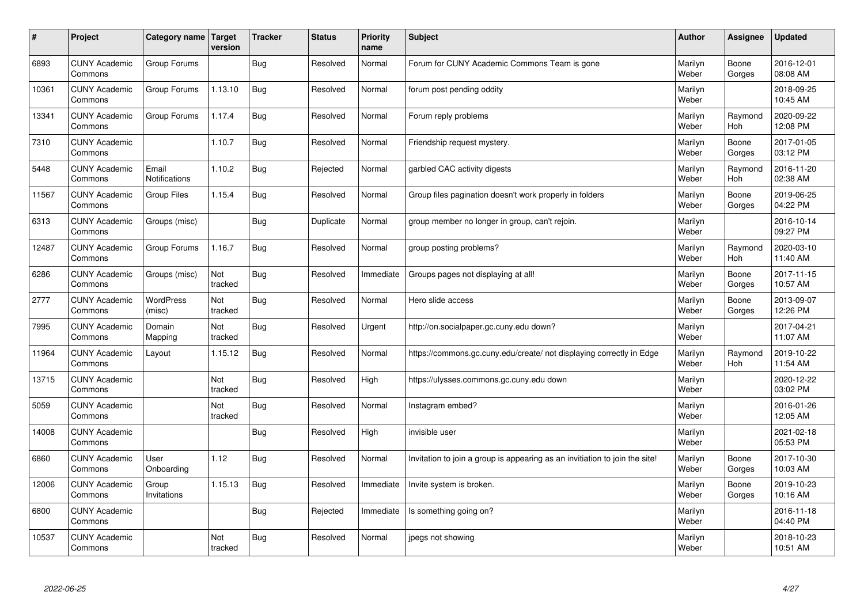| #     | Project                         | Category name   Target | version        | <b>Tracker</b> | <b>Status</b> | <b>Priority</b><br>name | <b>Subject</b>                                                              | <b>Author</b>    | Assignee              | Updated                |
|-------|---------------------------------|------------------------|----------------|----------------|---------------|-------------------------|-----------------------------------------------------------------------------|------------------|-----------------------|------------------------|
| 6893  | <b>CUNY Academic</b><br>Commons | Group Forums           |                | Bug            | Resolved      | Normal                  | Forum for CUNY Academic Commons Team is gone                                | Marilyn<br>Weber | Boone<br>Gorges       | 2016-12-01<br>08:08 AM |
| 10361 | <b>CUNY Academic</b><br>Commons | Group Forums           | 1.13.10        | Bug            | Resolved      | Normal                  | forum post pending oddity                                                   | Marilyn<br>Weber |                       | 2018-09-25<br>10:45 AM |
| 13341 | <b>CUNY Academic</b><br>Commons | Group Forums           | 1.17.4         | Bug            | Resolved      | Normal                  | Forum reply problems                                                        | Marilyn<br>Weber | Raymond<br><b>Hoh</b> | 2020-09-22<br>12:08 PM |
| 7310  | <b>CUNY Academic</b><br>Commons |                        | 1.10.7         | Bug            | Resolved      | Normal                  | Friendship request mystery.                                                 | Marilyn<br>Weber | Boone<br>Gorges       | 2017-01-05<br>03:12 PM |
| 5448  | <b>CUNY Academic</b><br>Commons | Email<br>Notifications | 1.10.2         | Bug            | Rejected      | Normal                  | garbled CAC activity digests                                                | Marilyn<br>Weber | Raymond<br>Hoh        | 2016-11-20<br>02:38 AM |
| 11567 | <b>CUNY Academic</b><br>Commons | <b>Group Files</b>     | 1.15.4         | Bug            | Resolved      | Normal                  | Group files pagination doesn't work properly in folders                     | Marilyn<br>Weber | Boone<br>Gorges       | 2019-06-25<br>04:22 PM |
| 6313  | <b>CUNY Academic</b><br>Commons | Groups (misc)          |                | Bug            | Duplicate     | Normal                  | group member no longer in group, can't rejoin.                              | Marilyn<br>Weber |                       | 2016-10-14<br>09:27 PM |
| 12487 | <b>CUNY Academic</b><br>Commons | Group Forums           | 1.16.7         | Bug            | Resolved      | Normal                  | group posting problems?                                                     | Marilyn<br>Weber | Raymond<br>Hoh        | 2020-03-10<br>11:40 AM |
| 6286  | <b>CUNY Academic</b><br>Commons | Groups (misc)          | Not<br>tracked | Bug            | Resolved      | Immediate               | Groups pages not displaying at all!                                         | Marilyn<br>Weber | Boone<br>Gorges       | 2017-11-15<br>10:57 AM |
| 2777  | <b>CUNY Academic</b><br>Commons | WordPress<br>(misc)    | Not<br>tracked | Bug            | Resolved      | Normal                  | Hero slide access                                                           | Marilyn<br>Weber | Boone<br>Gorges       | 2013-09-07<br>12:26 PM |
| 7995  | <b>CUNY Academic</b><br>Commons | Domain<br>Mapping      | Not<br>tracked | Bug            | Resolved      | Urgent                  | http://on.socialpaper.gc.cuny.edu down?                                     | Marilyn<br>Weber |                       | 2017-04-21<br>11:07 AM |
| 11964 | <b>CUNY Academic</b><br>Commons | Layout                 | 1.15.12        | Bug            | Resolved      | Normal                  | https://commons.gc.cuny.edu/create/ not displaying correctly in Edge        | Marilyn<br>Weber | Raymond<br>Hoh        | 2019-10-22<br>11:54 AM |
| 13715 | <b>CUNY Academic</b><br>Commons |                        | Not<br>tracked | Bug            | Resolved      | High                    | https://ulysses.commons.gc.cuny.edu down                                    | Marilyn<br>Weber |                       | 2020-12-22<br>03:02 PM |
| 5059  | <b>CUNY Academic</b><br>Commons |                        | Not<br>tracked | Bug            | Resolved      | Normal                  | Instagram embed?                                                            | Marilyn<br>Weber |                       | 2016-01-26<br>12:05 AM |
| 14008 | <b>CUNY Academic</b><br>Commons |                        |                | Bug            | Resolved      | High                    | invisible user                                                              | Marilyn<br>Weber |                       | 2021-02-18<br>05:53 PM |
| 6860  | <b>CUNY Academic</b><br>Commons | User<br>Onboarding     | 1.12           | Bug            | Resolved      | Normal                  | Invitation to join a group is appearing as an invitiation to join the site! | Marilyn<br>Weber | Boone<br>Gorges       | 2017-10-30<br>10:03 AM |
| 12006 | <b>CUNY Academic</b><br>Commons | Group<br>Invitations   | 1.15.13        | Bug            | Resolved      | Immediate               | Invite system is broken.                                                    | Marilyn<br>Weber | Boone<br>Gorges       | 2019-10-23<br>10:16 AM |
| 6800  | <b>CUNY Academic</b><br>Commons |                        |                | Bug            | Rejected      | Immediate               | Is something going on?                                                      | Marilyn<br>Weber |                       | 2016-11-18<br>04:40 PM |
| 10537 | <b>CUNY Academic</b><br>Commons |                        | Not<br>tracked | Bug            | Resolved      | Normal                  | jpegs not showing                                                           | Marilyn<br>Weber |                       | 2018-10-23<br>10:51 AM |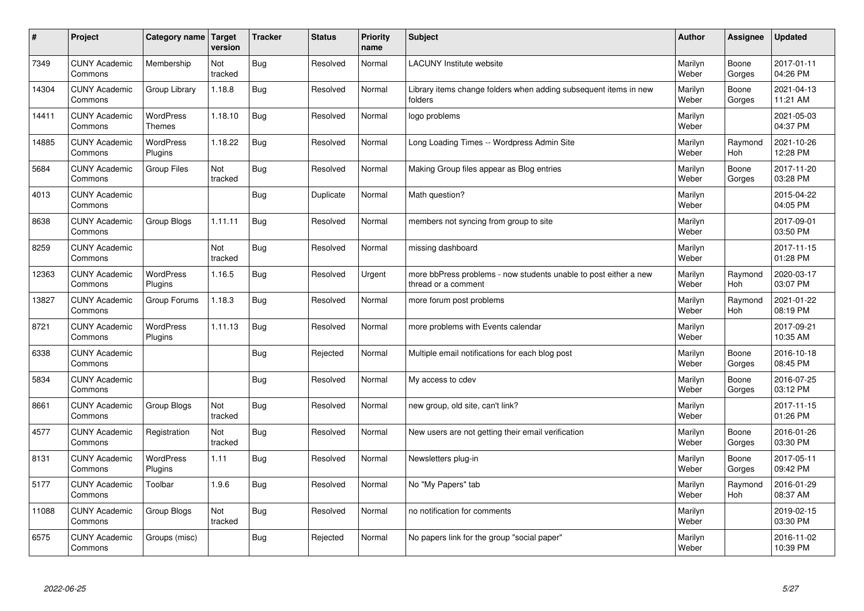| $\sharp$ | Project                         | Category name   Target            | version        | <b>Tracker</b> | <b>Status</b> | <b>Priority</b><br>name | <b>Subject</b>                                                                          | <b>Author</b>    | Assignee              | <b>Updated</b>         |
|----------|---------------------------------|-----------------------------------|----------------|----------------|---------------|-------------------------|-----------------------------------------------------------------------------------------|------------------|-----------------------|------------------------|
| 7349     | <b>CUNY Academic</b><br>Commons | Membership                        | Not<br>tracked | Bug            | Resolved      | Normal                  | <b>LACUNY</b> Institute website                                                         | Marilyn<br>Weber | Boone<br>Gorges       | 2017-01-11<br>04:26 PM |
| 14304    | <b>CUNY Academic</b><br>Commons | Group Library                     | 1.18.8         | Bug            | Resolved      | Normal                  | Library items change folders when adding subsequent items in new<br>folders             | Marilyn<br>Weber | Boone<br>Gorges       | 2021-04-13<br>11:21 AM |
| 14411    | <b>CUNY Academic</b><br>Commons | <b>WordPress</b><br><b>Themes</b> | 1.18.10        | Bug            | Resolved      | Normal                  | logo problems                                                                           | Marilyn<br>Weber |                       | 2021-05-03<br>04:37 PM |
| 14885    | <b>CUNY Academic</b><br>Commons | <b>WordPress</b><br>Plugins       | 1.18.22        | Bug            | Resolved      | Normal                  | Long Loading Times -- Wordpress Admin Site                                              | Marilyn<br>Weber | Raymond<br><b>Hoh</b> | 2021-10-26<br>12:28 PM |
| 5684     | <b>CUNY Academic</b><br>Commons | <b>Group Files</b>                | Not<br>tracked | Bug            | Resolved      | Normal                  | Making Group files appear as Blog entries                                               | Marilyn<br>Weber | Boone<br>Gorges       | 2017-11-20<br>03:28 PM |
| 4013     | <b>CUNY Academic</b><br>Commons |                                   |                | Bug            | Duplicate     | Normal                  | Math question?                                                                          | Marilyn<br>Weber |                       | 2015-04-22<br>04:05 PM |
| 8638     | <b>CUNY Academic</b><br>Commons | Group Blogs                       | 1.11.11        | <b>Bug</b>     | Resolved      | Normal                  | members not syncing from group to site                                                  | Marilyn<br>Weber |                       | 2017-09-01<br>03:50 PM |
| 8259     | <b>CUNY Academic</b><br>Commons |                                   | Not<br>tracked | Bug            | Resolved      | Normal                  | missing dashboard                                                                       | Marilyn<br>Weber |                       | 2017-11-15<br>01:28 PM |
| 12363    | <b>CUNY Academic</b><br>Commons | <b>WordPress</b><br>Plugins       | 1.16.5         | Bug            | Resolved      | Urgent                  | more bbPress problems - now students unable to post either a new<br>thread or a comment | Marilyn<br>Weber | Raymond<br>Hoh        | 2020-03-17<br>03:07 PM |
| 13827    | <b>CUNY Academic</b><br>Commons | Group Forums                      | 1.18.3         | Bug            | Resolved      | Normal                  | more forum post problems                                                                | Marilyn<br>Weber | Raymond<br>Hoh        | 2021-01-22<br>08:19 PM |
| 8721     | <b>CUNY Academic</b><br>Commons | <b>WordPress</b><br>Plugins       | 1.11.13        | Bug            | Resolved      | Normal                  | more problems with Events calendar                                                      | Marilyn<br>Weber |                       | 2017-09-21<br>10:35 AM |
| 6338     | <b>CUNY Academic</b><br>Commons |                                   |                | Bug            | Rejected      | Normal                  | Multiple email notifications for each blog post                                         | Marilyn<br>Weber | Boone<br>Gorges       | 2016-10-18<br>08:45 PM |
| 5834     | <b>CUNY Academic</b><br>Commons |                                   |                | <b>Bug</b>     | Resolved      | Normal                  | My access to cdev                                                                       | Marilyn<br>Weber | Boone<br>Gorges       | 2016-07-25<br>03:12 PM |
| 8661     | <b>CUNY Academic</b><br>Commons | Group Blogs                       | Not<br>tracked | <b>Bug</b>     | Resolved      | Normal                  | new group, old site, can't link?                                                        | Marilyn<br>Weber |                       | 2017-11-15<br>01:26 PM |
| 4577     | <b>CUNY Academic</b><br>Commons | Registration                      | Not<br>tracked | Bug            | Resolved      | Normal                  | New users are not getting their email verification                                      | Marilyn<br>Weber | Boone<br>Gorges       | 2016-01-26<br>03:30 PM |
| 8131     | <b>CUNY Academic</b><br>Commons | WordPress<br>Plugins              | 1.11           | <b>Bug</b>     | Resolved      | Normal                  | Newsletters plug-in                                                                     | Marilyn<br>Weber | Boone<br>Gorges       | 2017-05-11<br>09:42 PM |
| 5177     | <b>CUNY Academic</b><br>Commons | Toolbar                           | 1.9.6          | Bug            | Resolved      | Normal                  | No "My Papers" tab                                                                      | Marilyn<br>Weber | Raymond<br><b>Hoh</b> | 2016-01-29<br>08:37 AM |
| 11088    | <b>CUNY Academic</b><br>Commons | Group Blogs                       | Not<br>tracked | <b>Bug</b>     | Resolved      | Normal                  | no notification for comments                                                            | Marilyn<br>Weber |                       | 2019-02-15<br>03:30 PM |
| 6575     | <b>CUNY Academic</b><br>Commons | Groups (misc)                     |                | <b>Bug</b>     | Rejected      | Normal                  | No papers link for the group "social paper"                                             | Marilyn<br>Weber |                       | 2016-11-02<br>10:39 PM |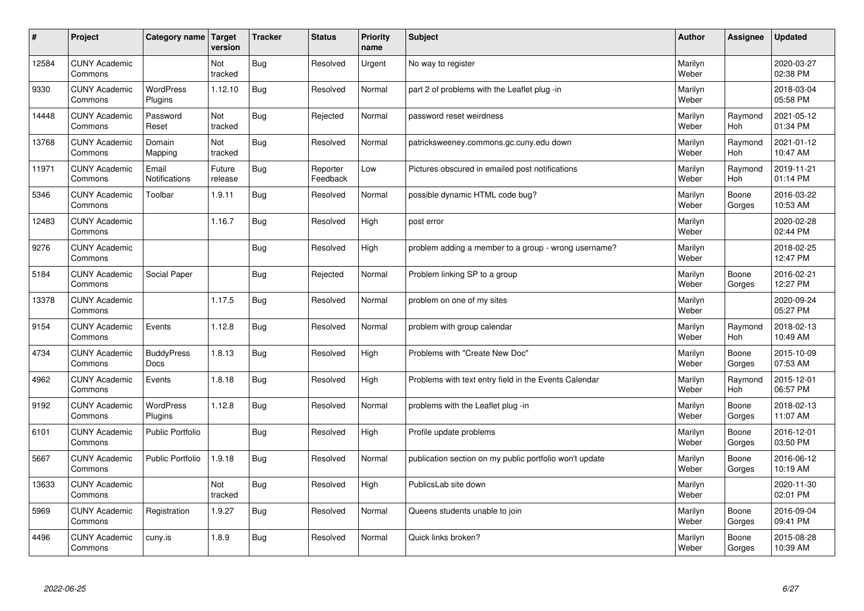| $\sharp$ | Project                         | Category name               | Target<br>version | <b>Tracker</b> | <b>Status</b>        | <b>Priority</b><br>name | <b>Subject</b>                                          | <b>Author</b>    | <b>Assignee</b>       | Updated                |
|----------|---------------------------------|-----------------------------|-------------------|----------------|----------------------|-------------------------|---------------------------------------------------------|------------------|-----------------------|------------------------|
| 12584    | <b>CUNY Academic</b><br>Commons |                             | Not<br>tracked    | Bug            | Resolved             | Urgent                  | No way to register                                      | Marilyn<br>Weber |                       | 2020-03-27<br>02:38 PM |
| 9330     | <b>CUNY Academic</b><br>Commons | <b>WordPress</b><br>Plugins | 1.12.10           | Bug            | Resolved             | Normal                  | part 2 of problems with the Leaflet plug -in            | Marilyn<br>Weber |                       | 2018-03-04<br>05:58 PM |
| 14448    | <b>CUNY Academic</b><br>Commons | Password<br>Reset           | Not<br>tracked    | Bug            | Rejected             | Normal                  | password reset weirdness                                | Marilyn<br>Weber | Raymond<br><b>Hoh</b> | 2021-05-12<br>01:34 PM |
| 13768    | <b>CUNY Academic</b><br>Commons | Domain<br>Mapping           | Not<br>tracked    | Bug            | Resolved             | Normal                  | patricksweeney.commons.gc.cuny.edu down                 | Marilyn<br>Weber | Raymond<br><b>Hoh</b> | 2021-01-12<br>10:47 AM |
| 11971    | <b>CUNY Academic</b><br>Commons | Email<br>Notifications      | Future<br>release | Bug            | Reporter<br>Feedback | Low                     | Pictures obscured in emailed post notifications         | Marilyn<br>Weber | Raymond<br>Hoh        | 2019-11-21<br>01:14 PM |
| 5346     | <b>CUNY Academic</b><br>Commons | Toolbar                     | 1.9.11            | <b>Bug</b>     | Resolved             | Normal                  | possible dynamic HTML code bug?                         | Marilyn<br>Weber | Boone<br>Gorges       | 2016-03-22<br>10:53 AM |
| 12483    | <b>CUNY Academic</b><br>Commons |                             | 1.16.7            | Bug            | Resolved             | High                    | post error                                              | Marilyn<br>Weber |                       | 2020-02-28<br>02:44 PM |
| 9276     | <b>CUNY Academic</b><br>Commons |                             |                   | Bug            | Resolved             | High                    | problem adding a member to a group - wrong username?    | Marilyn<br>Weber |                       | 2018-02-25<br>12:47 PM |
| 5184     | <b>CUNY Academic</b><br>Commons | Social Paper                |                   | Bug            | Rejected             | Normal                  | Problem linking SP to a group                           | Marilyn<br>Weber | Boone<br>Gorges       | 2016-02-21<br>12:27 PM |
| 13378    | <b>CUNY Academic</b><br>Commons |                             | 1.17.5            | Bug            | Resolved             | Normal                  | problem on one of my sites                              | Marilyn<br>Weber |                       | 2020-09-24<br>05:27 PM |
| 9154     | <b>CUNY Academic</b><br>Commons | Events                      | 1.12.8            | Bug            | Resolved             | Normal                  | problem with group calendar                             | Marilyn<br>Weber | Raymond<br>Hoh        | 2018-02-13<br>10:49 AM |
| 4734     | <b>CUNY Academic</b><br>Commons | <b>BuddyPress</b><br>Docs   | 1.8.13            | Bug            | Resolved             | High                    | Problems with "Create New Doc"                          | Marilyn<br>Weber | Boone<br>Gorges       | 2015-10-09<br>07:53 AM |
| 4962     | <b>CUNY Academic</b><br>Commons | Events                      | 1.8.18            | Bug            | Resolved             | High                    | Problems with text entry field in the Events Calendar   | Marilyn<br>Weber | Raymond<br>Hoh        | 2015-12-01<br>06:57 PM |
| 9192     | <b>CUNY Academic</b><br>Commons | WordPress<br>Plugins        | 1.12.8            | <b>Bug</b>     | Resolved             | Normal                  | problems with the Leaflet plug -in                      | Marilyn<br>Weber | Boone<br>Gorges       | 2018-02-13<br>11:07 AM |
| 6101     | <b>CUNY Academic</b><br>Commons | <b>Public Portfolio</b>     |                   | <b>Bug</b>     | Resolved             | High                    | Profile update problems                                 | Marilyn<br>Weber | Boone<br>Gorges       | 2016-12-01<br>03:50 PM |
| 5667     | <b>CUNY Academic</b><br>Commons | <b>Public Portfolio</b>     | 1.9.18            | Bug            | Resolved             | Normal                  | publication section on my public portfolio won't update | Marilyn<br>Weber | Boone<br>Gorges       | 2016-06-12<br>10:19 AM |
| 13633    | <b>CUNY Academic</b><br>Commons |                             | Not<br>tracked    | Bug            | Resolved             | High                    | PublicsLab site down                                    | Marilyn<br>Weber |                       | 2020-11-30<br>02:01 PM |
| 5969     | <b>CUNY Academic</b><br>Commons | Registration                | 1.9.27            | Bug            | Resolved             | Normal                  | Queens students unable to join                          | Marilyn<br>Weber | Boone<br>Gorges       | 2016-09-04<br>09:41 PM |
| 4496     | <b>CUNY Academic</b><br>Commons | cuny.is                     | 1.8.9             | Bug            | Resolved             | Normal                  | Quick links broken?                                     | Marilyn<br>Weber | Boone<br>Gorges       | 2015-08-28<br>10:39 AM |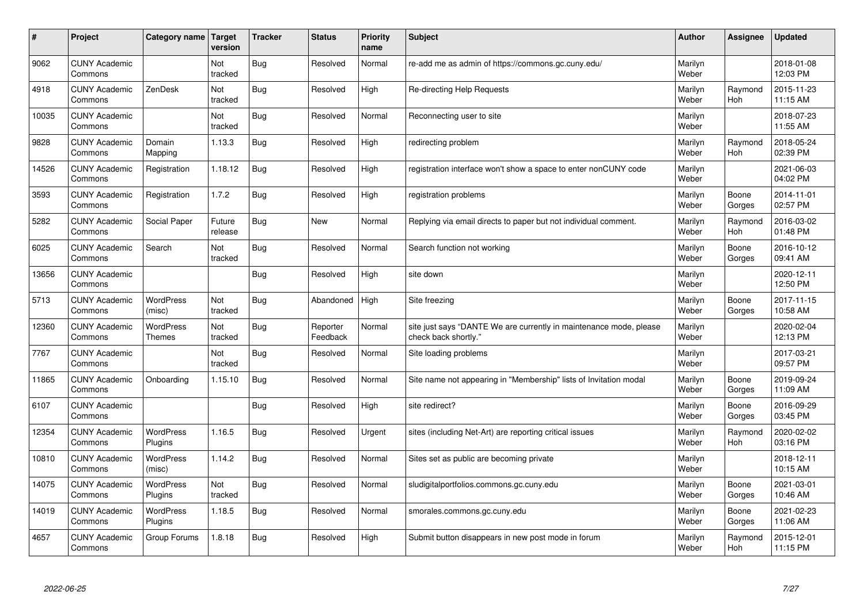| $\vert$ # | Project                         | Category name                     | <b>Target</b><br>version | <b>Tracker</b> | <b>Status</b>        | <b>Priority</b><br>name | <b>Subject</b>                                                                             | <b>Author</b>    | <b>Assignee</b>       | <b>Updated</b>         |
|-----------|---------------------------------|-----------------------------------|--------------------------|----------------|----------------------|-------------------------|--------------------------------------------------------------------------------------------|------------------|-----------------------|------------------------|
| 9062      | <b>CUNY Academic</b><br>Commons |                                   | Not<br>tracked           | Bug            | Resolved             | Normal                  | re-add me as admin of https://commons.gc.cuny.edu/                                         | Marilyn<br>Weber |                       | 2018-01-08<br>12:03 PM |
| 4918      | <b>CUNY Academic</b><br>Commons | ZenDesk                           | Not<br>tracked           | <b>Bug</b>     | Resolved             | High                    | Re-directing Help Requests                                                                 | Marilyn<br>Weber | Raymond<br><b>Hoh</b> | 2015-11-23<br>11:15 AM |
| 10035     | <b>CUNY Academic</b><br>Commons |                                   | Not<br>tracked           | <b>Bug</b>     | Resolved             | Normal                  | Reconnecting user to site                                                                  | Marilyn<br>Weber |                       | 2018-07-23<br>11:55 AM |
| 9828      | <b>CUNY Academic</b><br>Commons | Domain<br>Mapping                 | 1.13.3                   | Bug            | Resolved             | High                    | redirecting problem                                                                        | Marilyn<br>Weber | Raymond<br><b>Hoh</b> | 2018-05-24<br>02:39 PM |
| 14526     | <b>CUNY Academic</b><br>Commons | Registration                      | 1.18.12                  | Bug            | Resolved             | High                    | registration interface won't show a space to enter nonCUNY code                            | Marilyn<br>Weber |                       | 2021-06-03<br>04:02 PM |
| 3593      | <b>CUNY Academic</b><br>Commons | Registration                      | 1.7.2                    | Bug            | Resolved             | High                    | registration problems                                                                      | Marilyn<br>Weber | Boone<br>Gorges       | 2014-11-01<br>02:57 PM |
| 5282      | <b>CUNY Academic</b><br>Commons | Social Paper                      | Future<br>release        | <b>Bug</b>     | <b>New</b>           | Normal                  | Replying via email directs to paper but not individual comment.                            | Marilyn<br>Weber | Raymond<br>Hoh        | 2016-03-02<br>01:48 PM |
| 6025      | <b>CUNY Academic</b><br>Commons | Search                            | Not<br>tracked           | Bug            | Resolved             | Normal                  | Search function not working                                                                | Marilyn<br>Weber | Boone<br>Gorges       | 2016-10-12<br>09:41 AM |
| 13656     | <b>CUNY Academic</b><br>Commons |                                   |                          | Bug            | Resolved             | High                    | site down                                                                                  | Marilyn<br>Weber |                       | 2020-12-11<br>12:50 PM |
| 5713      | <b>CUNY Academic</b><br>Commons | WordPress<br>(misc)               | Not<br>tracked           | Bug            | Abandoned            | High                    | Site freezing                                                                              | Marilyn<br>Weber | Boone<br>Gorges       | 2017-11-15<br>10:58 AM |
| 12360     | <b>CUNY Academic</b><br>Commons | <b>WordPress</b><br><b>Themes</b> | Not<br>tracked           | Bug            | Reporter<br>Feedback | Normal                  | site just says "DANTE We are currently in maintenance mode, please<br>check back shortly." | Marilyn<br>Weber |                       | 2020-02-04<br>12:13 PM |
| 7767      | <b>CUNY Academic</b><br>Commons |                                   | Not<br>tracked           | <b>Bug</b>     | Resolved             | Normal                  | Site loading problems                                                                      | Marilyn<br>Weber |                       | 2017-03-21<br>09:57 PM |
| 11865     | <b>CUNY Academic</b><br>Commons | Onboarding                        | 1.15.10                  | <b>Bug</b>     | Resolved             | Normal                  | Site name not appearing in "Membership" lists of Invitation modal                          | Marilyn<br>Weber | Boone<br>Gorges       | 2019-09-24<br>11:09 AM |
| 6107      | <b>CUNY Academic</b><br>Commons |                                   |                          | Bug            | Resolved             | High                    | site redirect?                                                                             | Marilyn<br>Weber | Boone<br>Gorges       | 2016-09-29<br>03:45 PM |
| 12354     | <b>CUNY Academic</b><br>Commons | <b>WordPress</b><br>Plugins       | 1.16.5                   | <b>Bug</b>     | Resolved             | Urgent                  | sites (including Net-Art) are reporting critical issues                                    | Marilyn<br>Weber | Raymond<br>Hoh        | 2020-02-02<br>03:16 PM |
| 10810     | <b>CUNY Academic</b><br>Commons | WordPress<br>(misc)               | 1.14.2                   | Bug            | Resolved             | Normal                  | Sites set as public are becoming private                                                   | Marilyn<br>Weber |                       | 2018-12-11<br>10:15 AM |
| 14075     | <b>CUNY Academic</b><br>Commons | <b>WordPress</b><br>Plugins       | Not<br>tracked           | <b>Bug</b>     | Resolved             | Normal                  | sludigitalportfolios.commons.gc.cuny.edu                                                   | Marilyn<br>Weber | Boone<br>Gorges       | 2021-03-01<br>10:46 AM |
| 14019     | <b>CUNY Academic</b><br>Commons | WordPress<br>Plugins              | 1.18.5                   | <b>Bug</b>     | Resolved             | Normal                  | smorales.commons.gc.cuny.edu                                                               | Marilyn<br>Weber | Boone<br>Gorges       | 2021-02-23<br>11:06 AM |
| 4657      | <b>CUNY Academic</b><br>Commons | Group Forums                      | 1.8.18                   | Bug            | Resolved             | High                    | Submit button disappears in new post mode in forum                                         | Marilyn<br>Weber | Raymond<br>Hoh        | 2015-12-01<br>11:15 PM |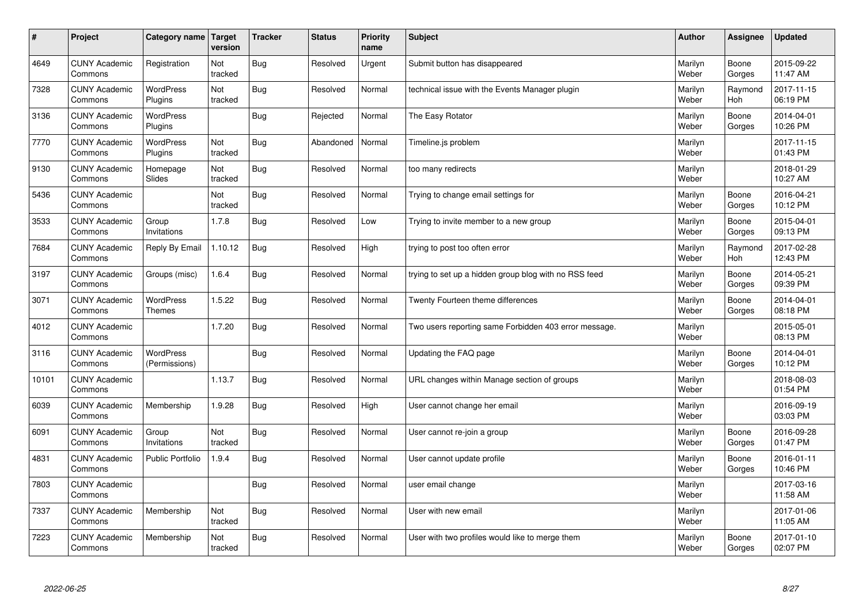| #     | Project                         | Category name   Target            | version        | <b>Tracker</b> | <b>Status</b> | <b>Priority</b><br>name | <b>Subject</b>                                        | <b>Author</b>    | <b>Assignee</b> | <b>Updated</b>         |
|-------|---------------------------------|-----------------------------------|----------------|----------------|---------------|-------------------------|-------------------------------------------------------|------------------|-----------------|------------------------|
| 4649  | <b>CUNY Academic</b><br>Commons | Registration                      | Not<br>tracked | Bug            | Resolved      | Urgent                  | Submit button has disappeared                         | Marilyn<br>Weber | Boone<br>Gorges | 2015-09-22<br>11:47 AM |
| 7328  | <b>CUNY Academic</b><br>Commons | <b>WordPress</b><br>Plugins       | Not<br>tracked | Bug            | Resolved      | Normal                  | technical issue with the Events Manager plugin        | Marilyn<br>Weber | Raymond<br>Hoh  | 2017-11-15<br>06:19 PM |
| 3136  | <b>CUNY Academic</b><br>Commons | <b>WordPress</b><br>Plugins       |                | Bug            | Rejected      | Normal                  | The Easy Rotator                                      | Marilyn<br>Weber | Boone<br>Gorges | 2014-04-01<br>10:26 PM |
| 7770  | <b>CUNY Academic</b><br>Commons | <b>WordPress</b><br>Plugins       | Not<br>tracked | <b>Bug</b>     | Abandoned     | Normal                  | Timeline.js problem                                   | Marilyn<br>Weber |                 | 2017-11-15<br>01:43 PM |
| 9130  | <b>CUNY Academic</b><br>Commons | Homepage<br>Slides                | Not<br>tracked | Bug            | Resolved      | Normal                  | too many redirects                                    | Marilyn<br>Weber |                 | 2018-01-29<br>10:27 AM |
| 5436  | <b>CUNY Academic</b><br>Commons |                                   | Not<br>tracked | Bug            | Resolved      | Normal                  | Trying to change email settings for                   | Marilyn<br>Weber | Boone<br>Gorges | 2016-04-21<br>10:12 PM |
| 3533  | <b>CUNY Academic</b><br>Commons | Group<br>Invitations              | 1.7.8          | Bug            | Resolved      | Low                     | Trying to invite member to a new group                | Marilyn<br>Weber | Boone<br>Gorges | 2015-04-01<br>09:13 PM |
| 7684  | <b>CUNY Academic</b><br>Commons | Reply By Email                    | 1.10.12        | Bug            | Resolved      | High                    | trying to post too often error                        | Marilyn<br>Weber | Raymond<br>Hoh  | 2017-02-28<br>12:43 PM |
| 3197  | <b>CUNY Academic</b><br>Commons | Groups (misc)                     | 1.6.4          | Bug            | Resolved      | Normal                  | trying to set up a hidden group blog with no RSS feed | Marilyn<br>Weber | Boone<br>Gorges | 2014-05-21<br>09:39 PM |
| 3071  | <b>CUNY Academic</b><br>Commons | <b>WordPress</b><br><b>Themes</b> | 1.5.22         | Bug            | Resolved      | Normal                  | Twenty Fourteen theme differences                     | Marilyn<br>Weber | Boone<br>Gorges | 2014-04-01<br>08:18 PM |
| 4012  | <b>CUNY Academic</b><br>Commons |                                   | 1.7.20         | Bug            | Resolved      | Normal                  | Two users reporting same Forbidden 403 error message. | Marilyn<br>Weber |                 | 2015-05-01<br>08:13 PM |
| 3116  | <b>CUNY Academic</b><br>Commons | <b>WordPress</b><br>(Permissions) |                | Bug            | Resolved      | Normal                  | Updating the FAQ page                                 | Marilyn<br>Weber | Boone<br>Gorges | 2014-04-01<br>10:12 PM |
| 10101 | <b>CUNY Academic</b><br>Commons |                                   | 1.13.7         | <b>Bug</b>     | Resolved      | Normal                  | URL changes within Manage section of groups           | Marilyn<br>Weber |                 | 2018-08-03<br>01:54 PM |
| 6039  | <b>CUNY Academic</b><br>Commons | Membership                        | 1.9.28         | <b>Bug</b>     | Resolved      | High                    | User cannot change her email                          | Marilyn<br>Weber |                 | 2016-09-19<br>03:03 PM |
| 6091  | <b>CUNY Academic</b><br>Commons | Group<br>Invitations              | Not<br>tracked | Bug            | Resolved      | Normal                  | User cannot re-join a group                           | Marilyn<br>Weber | Boone<br>Gorges | 2016-09-28<br>01:47 PM |
| 4831  | <b>CUNY Academic</b><br>Commons | <b>Public Portfolio</b>           | 1.9.4          | Bug            | Resolved      | Normal                  | User cannot update profile                            | Marilyn<br>Weber | Boone<br>Gorges | 2016-01-11<br>10:46 PM |
| 7803  | <b>CUNY Academic</b><br>Commons |                                   |                | Bug            | Resolved      | Normal                  | user email change                                     | Marilyn<br>Weber |                 | 2017-03-16<br>11:58 AM |
| 7337  | <b>CUNY Academic</b><br>Commons | Membership                        | Not<br>tracked | Bug            | Resolved      | Normal                  | User with new email                                   | Marilyn<br>Weber |                 | 2017-01-06<br>11:05 AM |
| 7223  | <b>CUNY Academic</b><br>Commons | Membership                        | Not<br>tracked | Bug            | Resolved      | Normal                  | User with two profiles would like to merge them       | Marilyn<br>Weber | Boone<br>Gorges | 2017-01-10<br>02:07 PM |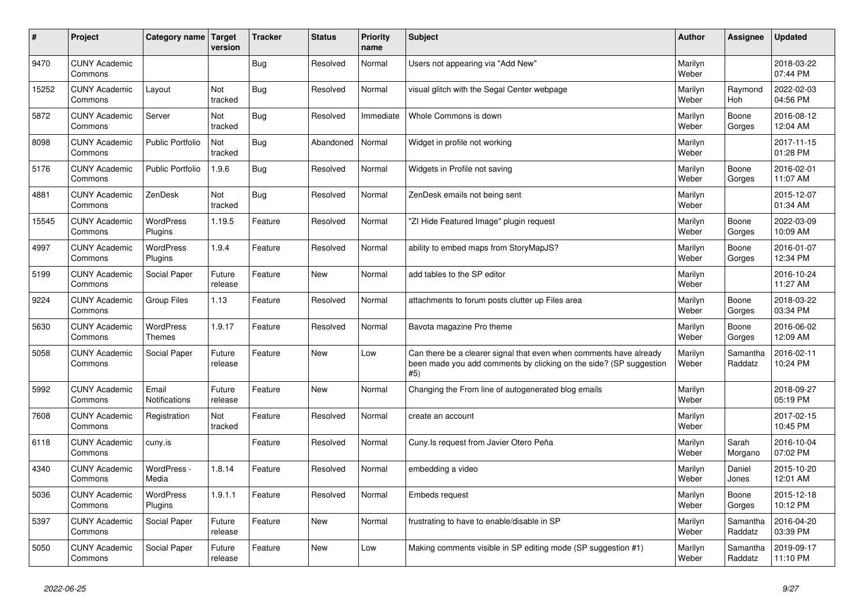| #     | Project                         | Category name   Target      | version           | <b>Tracker</b> | <b>Status</b> | <b>Priority</b><br>name | <b>Subject</b>                                                                                                                                  | <b>Author</b>    | Assignee              | <b>Updated</b>         |
|-------|---------------------------------|-----------------------------|-------------------|----------------|---------------|-------------------------|-------------------------------------------------------------------------------------------------------------------------------------------------|------------------|-----------------------|------------------------|
| 9470  | <b>CUNY Academic</b><br>Commons |                             |                   | <b>Bug</b>     | Resolved      | Normal                  | Users not appearing via "Add New"                                                                                                               | Marilyn<br>Weber |                       | 2018-03-22<br>07:44 PM |
| 15252 | <b>CUNY Academic</b><br>Commons | Layout                      | Not<br>tracked    | Bug            | Resolved      | Normal                  | visual glitch with the Segal Center webpage                                                                                                     | Marilyn<br>Weber | Raymond<br><b>Hoh</b> | 2022-02-03<br>04:56 PM |
| 5872  | <b>CUNY Academic</b><br>Commons | Server                      | Not<br>tracked    | Bug            | Resolved      | Immediate               | Whole Commons is down                                                                                                                           | Marilyn<br>Weber | Boone<br>Gorges       | 2016-08-12<br>12:04 AM |
| 8098  | <b>CUNY Academic</b><br>Commons | <b>Public Portfolio</b>     | Not<br>tracked    | Bug            | Abandoned     | Normal                  | Widget in profile not working                                                                                                                   | Marilyn<br>Weber |                       | 2017-11-15<br>01:28 PM |
| 5176  | <b>CUNY Academic</b><br>Commons | <b>Public Portfolio</b>     | 1.9.6             | Bug            | Resolved      | Normal                  | Widgets in Profile not saving                                                                                                                   | Marilyn<br>Weber | Boone<br>Gorges       | 2016-02-01<br>11:07 AM |
| 4881  | <b>CUNY Academic</b><br>Commons | ZenDesk                     | Not<br>tracked    | Bug            | Resolved      | Normal                  | ZenDesk emails not being sent                                                                                                                   | Marilyn<br>Weber |                       | 2015-12-07<br>01:34 AM |
| 15545 | <b>CUNY Academic</b><br>Commons | <b>WordPress</b><br>Plugins | 1.19.5            | Feature        | Resolved      | Normal                  | 'ZI Hide Featured Image" plugin request                                                                                                         | Marilyn<br>Weber | Boone<br>Gorges       | 2022-03-09<br>10:09 AM |
| 4997  | <b>CUNY Academic</b><br>Commons | <b>WordPress</b><br>Plugins | 1.9.4             | Feature        | Resolved      | Normal                  | ability to embed maps from StoryMapJS?                                                                                                          | Marilyn<br>Weber | Boone<br>Gorges       | 2016-01-07<br>12:34 PM |
| 5199  | <b>CUNY Academic</b><br>Commons | Social Paper                | Future<br>release | Feature        | <b>New</b>    | Normal                  | add tables to the SP editor                                                                                                                     | Marilyn<br>Weber |                       | 2016-10-24<br>11:27 AM |
| 9224  | <b>CUNY Academic</b><br>Commons | Group Files                 | 1.13              | Feature        | Resolved      | Normal                  | attachments to forum posts clutter up Files area                                                                                                | Marilyn<br>Weber | Boone<br>Gorges       | 2018-03-22<br>03:34 PM |
| 5630  | <b>CUNY Academic</b><br>Commons | <b>WordPress</b><br>Themes  | 1.9.17            | Feature        | Resolved      | Normal                  | Bavota magazine Pro theme                                                                                                                       | Marilyn<br>Weber | Boone<br>Gorges       | 2016-06-02<br>12:09 AM |
| 5058  | <b>CUNY Academic</b><br>Commons | Social Paper                | Future<br>release | Feature        | <b>New</b>    | Low                     | Can there be a clearer signal that even when comments have already<br>been made you add comments by clicking on the side? (SP suggestion<br>#5) | Marilyn<br>Weber | Samantha<br>Raddatz   | 2016-02-11<br>10:24 PM |
| 5992  | <b>CUNY Academic</b><br>Commons | Email<br>Notifications      | Future<br>release | Feature        | <b>New</b>    | Normal                  | Changing the From line of autogenerated blog emails                                                                                             | Marilyn<br>Weber |                       | 2018-09-27<br>05:19 PM |
| 7608  | <b>CUNY Academic</b><br>Commons | Registration                | Not<br>tracked    | Feature        | Resolved      | Normal                  | create an account                                                                                                                               | Marilyn<br>Weber |                       | 2017-02-15<br>10:45 PM |
| 6118  | <b>CUNY Academic</b><br>Commons | cuny.is                     |                   | Feature        | Resolved      | Normal                  | Cuny. Is request from Javier Otero Peña                                                                                                         | Marilyn<br>Weber | Sarah<br>Morgano      | 2016-10-04<br>07:02 PM |
| 4340  | <b>CUNY Academic</b><br>Commons | WordPress -<br>Media        | 1.8.14            | Feature        | Resolved      | Normal                  | embedding a video                                                                                                                               | Marilyn<br>Weber | Daniel<br>Jones       | 2015-10-20<br>12:01 AM |
| 5036  | <b>CUNY Academic</b><br>Commons | WordPress<br>Plugins        | 1.9.1.1           | Feature        | Resolved      | Normal                  | <b>Embeds request</b>                                                                                                                           | Marilyn<br>Weber | Boone<br>Gorges       | 2015-12-18<br>10:12 PM |
| 5397  | <b>CUNY Academic</b><br>Commons | Social Paper                | Future<br>release | Feature        | <b>New</b>    | Normal                  | frustrating to have to enable/disable in SP                                                                                                     | Marilyn<br>Weber | Samantha<br>Raddatz   | 2016-04-20<br>03:39 PM |
| 5050  | <b>CUNY Academic</b><br>Commons | Social Paper                | Future<br>release | Feature        | <b>New</b>    | Low                     | Making comments visible in SP editing mode (SP suggestion #1)                                                                                   | Marilyn<br>Weber | Samantha<br>Raddatz   | 2019-09-17<br>11:10 PM |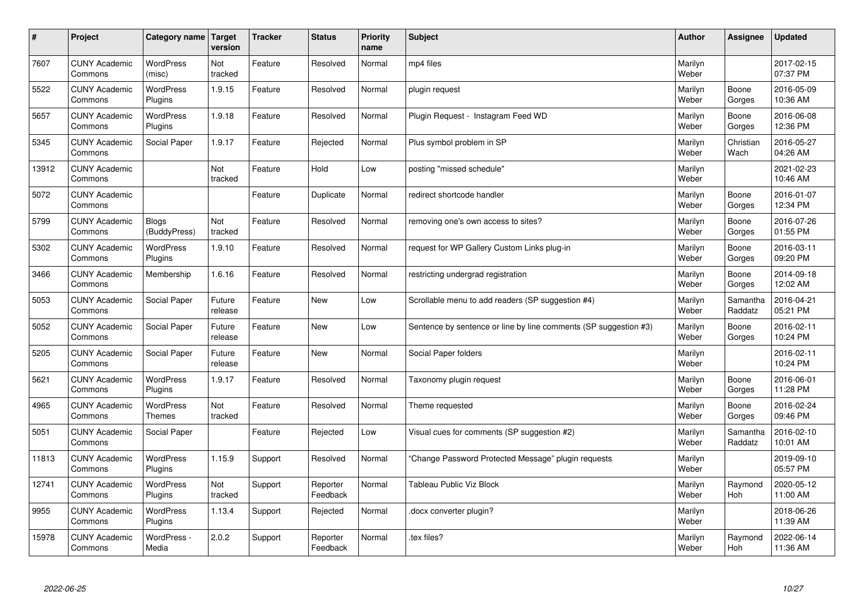| $\sharp$ | Project                         | Category name   Target            | version           | <b>Tracker</b> | <b>Status</b>        | <b>Priority</b><br>name | <b>Subject</b>                                                   | <b>Author</b>    | Assignee            | <b>Updated</b>         |
|----------|---------------------------------|-----------------------------------|-------------------|----------------|----------------------|-------------------------|------------------------------------------------------------------|------------------|---------------------|------------------------|
| 7607     | <b>CUNY Academic</b><br>Commons | <b>WordPress</b><br>(misc)        | Not<br>tracked    | Feature        | Resolved             | Normal                  | mp4 files                                                        | Marilyn<br>Weber |                     | 2017-02-15<br>07:37 PM |
| 5522     | <b>CUNY Academic</b><br>Commons | <b>WordPress</b><br>Plugins       | 1.9.15            | Feature        | Resolved             | Normal                  | plugin request                                                   | Marilyn<br>Weber | Boone<br>Gorges     | 2016-05-09<br>10:36 AM |
| 5657     | <b>CUNY Academic</b><br>Commons | <b>WordPress</b><br>Plugins       | 1.9.18            | Feature        | Resolved             | Normal                  | Plugin Request - Instagram Feed WD                               | Marilyn<br>Weber | Boone<br>Gorges     | 2016-06-08<br>12:36 PM |
| 5345     | <b>CUNY Academic</b><br>Commons | Social Paper                      | 1.9.17            | Feature        | Rejected             | Normal                  | Plus symbol problem in SP                                        | Marilyn<br>Weber | Christian<br>Wach   | 2016-05-27<br>04:26 AM |
| 13912    | <b>CUNY Academic</b><br>Commons |                                   | Not<br>tracked    | Feature        | Hold                 | Low                     | posting "missed schedule"                                        | Marilyn<br>Weber |                     | 2021-02-23<br>10:46 AM |
| 5072     | <b>CUNY Academic</b><br>Commons |                                   |                   | Feature        | Duplicate            | Normal                  | redirect shortcode handler                                       | Marilyn<br>Weber | Boone<br>Gorges     | 2016-01-07<br>12:34 PM |
| 5799     | <b>CUNY Academic</b><br>Commons | <b>Blogs</b><br>(BuddyPress)      | Not<br>tracked    | Feature        | Resolved             | Normal                  | removing one's own access to sites?                              | Marilyn<br>Weber | Boone<br>Gorges     | 2016-07-26<br>01:55 PM |
| 5302     | <b>CUNY Academic</b><br>Commons | <b>WordPress</b><br>Plugins       | 1.9.10            | Feature        | Resolved             | Normal                  | request for WP Gallery Custom Links plug-in                      | Marilyn<br>Weber | Boone<br>Gorges     | 2016-03-11<br>09:20 PM |
| 3466     | <b>CUNY Academic</b><br>Commons | Membership                        | 1.6.16            | Feature        | Resolved             | Normal                  | restricting undergrad registration                               | Marilyn<br>Weber | Boone<br>Gorges     | 2014-09-18<br>12:02 AM |
| 5053     | <b>CUNY Academic</b><br>Commons | Social Paper                      | Future<br>release | Feature        | <b>New</b>           | Low                     | Scrollable menu to add readers (SP suggestion #4)                | Marilyn<br>Weber | Samantha<br>Raddatz | 2016-04-21<br>05:21 PM |
| 5052     | <b>CUNY Academic</b><br>Commons | Social Paper                      | Future<br>release | Feature        | New                  | Low                     | Sentence by sentence or line by line comments (SP suggestion #3) | Marilyn<br>Weber | Boone<br>Gorges     | 2016-02-11<br>10:24 PM |
| 5205     | <b>CUNY Academic</b><br>Commons | Social Paper                      | Future<br>release | Feature        | <b>New</b>           | Normal                  | Social Paper folders                                             | Marilyn<br>Weber |                     | 2016-02-11<br>10:24 PM |
| 5621     | <b>CUNY Academic</b><br>Commons | WordPress<br>Plugins              | 1.9.17            | Feature        | Resolved             | Normal                  | Taxonomy plugin request                                          | Marilyn<br>Weber | Boone<br>Gorges     | 2016-06-01<br>11:28 PM |
| 4965     | <b>CUNY Academic</b><br>Commons | <b>WordPress</b><br><b>Themes</b> | Not<br>tracked    | Feature        | Resolved             | Normal                  | Theme requested                                                  | Marilyn<br>Weber | Boone<br>Gorges     | 2016-02-24<br>09:46 PM |
| 5051     | <b>CUNY Academic</b><br>Commons | Social Paper                      |                   | Feature        | Rejected             | Low                     | Visual cues for comments (SP suggestion #2)                      | Marilyn<br>Weber | Samantha<br>Raddatz | 2016-02-10<br>10:01 AM |
| 11813    | <b>CUNY Academic</b><br>Commons | <b>WordPress</b><br>Plugins       | 1.15.9            | Support        | Resolved             | Normal                  | 'Change Password Protected Message" plugin requests              | Marilyn<br>Weber |                     | 2019-09-10<br>05:57 PM |
| 12741    | <b>CUNY Academic</b><br>Commons | WordPress<br>Plugins              | Not<br>tracked    | Support        | Reporter<br>Feedback | Normal                  | <b>Tableau Public Viz Block</b>                                  | Marilyn<br>Weber | Raymond<br>Hoh      | 2020-05-12<br>11:00 AM |
| 9955     | <b>CUNY Academic</b><br>Commons | WordPress<br>Plugins              | 1.13.4            | Support        | Rejected             | Normal                  | docx converter plugin?                                           | Marilyn<br>Weber |                     | 2018-06-26<br>11:39 AM |
| 15978    | <b>CUNY Academic</b><br>Commons | WordPress -<br>Media              | 2.0.2             | Support        | Reporter<br>Feedback | Normal                  | tex files?                                                       | Marilyn<br>Weber | Raymond<br>Hoh      | 2022-06-14<br>11:36 AM |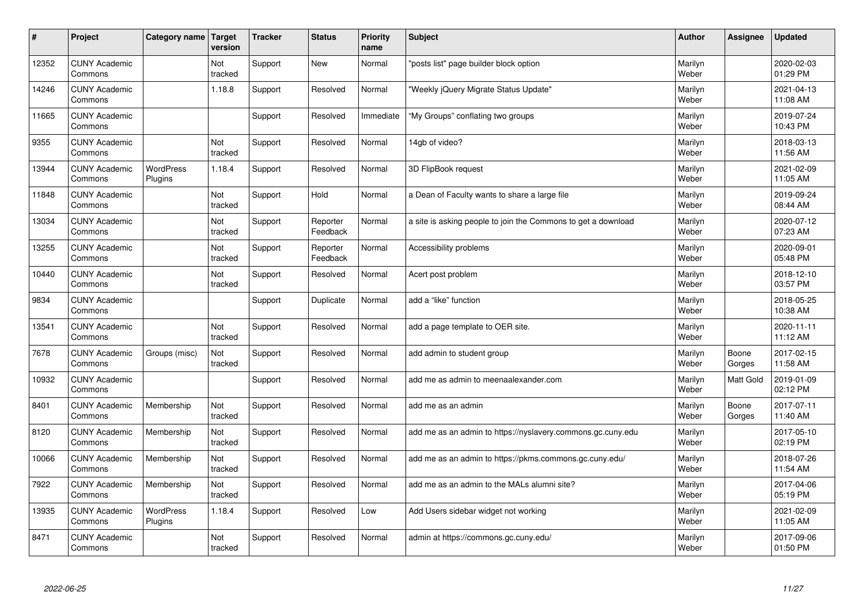| #     | Project                         | Category name               | Target<br>version | <b>Tracker</b> | <b>Status</b>        | <b>Priority</b><br>name | <b>Subject</b>                                                | <b>Author</b>    | Assignee        | <b>Updated</b>         |
|-------|---------------------------------|-----------------------------|-------------------|----------------|----------------------|-------------------------|---------------------------------------------------------------|------------------|-----------------|------------------------|
| 12352 | <b>CUNY Academic</b><br>Commons |                             | Not<br>tracked    | Support        | <b>New</b>           | Normal                  | "posts list" page builder block option                        | Marilyn<br>Weber |                 | 2020-02-03<br>01:29 PM |
| 14246 | <b>CUNY Academic</b><br>Commons |                             | 1.18.8            | Support        | Resolved             | Normal                  | 'Weekly jQuery Migrate Status Update"                         | Marilyn<br>Weber |                 | 2021-04-13<br>11:08 AM |
| 11665 | <b>CUNY Academic</b><br>Commons |                             |                   | Support        | Resolved             | Immediate               | "My Groups" conflating two groups                             | Marilyn<br>Weber |                 | 2019-07-24<br>10:43 PM |
| 9355  | <b>CUNY Academic</b><br>Commons |                             | Not<br>tracked    | Support        | Resolved             | Normal                  | 14gb of video?                                                | Marilyn<br>Weber |                 | 2018-03-13<br>11:56 AM |
| 13944 | <b>CUNY Academic</b><br>Commons | <b>WordPress</b><br>Plugins | 1.18.4            | Support        | Resolved             | Normal                  | 3D FlipBook request                                           | Marilyn<br>Weber |                 | 2021-02-09<br>11:05 AM |
| 11848 | <b>CUNY Academic</b><br>Commons |                             | Not<br>tracked    | Support        | Hold                 | Normal                  | a Dean of Faculty wants to share a large file                 | Marilyn<br>Weber |                 | 2019-09-24<br>08:44 AM |
| 13034 | <b>CUNY Academic</b><br>Commons |                             | Not<br>tracked    | Support        | Reporter<br>Feedback | Normal                  | a site is asking people to join the Commons to get a download | Marilyn<br>Weber |                 | 2020-07-12<br>07:23 AM |
| 13255 | <b>CUNY Academic</b><br>Commons |                             | Not<br>tracked    | Support        | Reporter<br>Feedback | Normal                  | Accessibility problems                                        | Marilyn<br>Weber |                 | 2020-09-01<br>05:48 PM |
| 10440 | <b>CUNY Academic</b><br>Commons |                             | Not<br>tracked    | Support        | Resolved             | Normal                  | Acert post problem                                            | Marilyn<br>Weber |                 | 2018-12-10<br>03:57 PM |
| 9834  | <b>CUNY Academic</b><br>Commons |                             |                   | Support        | Duplicate            | Normal                  | add a "like" function                                         | Marilyn<br>Weber |                 | 2018-05-25<br>10:38 AM |
| 13541 | <b>CUNY Academic</b><br>Commons |                             | Not<br>tracked    | Support        | Resolved             | Normal                  | add a page template to OER site.                              | Marilyn<br>Weber |                 | 2020-11-11<br>11:12 AM |
| 7678  | <b>CUNY Academic</b><br>Commons | Groups (misc)               | Not<br>tracked    | Support        | Resolved             | Normal                  | add admin to student group                                    | Marilyn<br>Weber | Boone<br>Gorges | 2017-02-15<br>11:58 AM |
| 10932 | <b>CUNY Academic</b><br>Commons |                             |                   | Support        | Resolved             | Normal                  | add me as admin to meenaalexander.com                         | Marilyn<br>Weber | Matt Gold       | 2019-01-09<br>02:12 PM |
| 8401  | <b>CUNY Academic</b><br>Commons | Membership                  | Not<br>tracked    | Support        | Resolved             | Normal                  | add me as an admin                                            | Marilyn<br>Weber | Boone<br>Gorges | 2017-07-11<br>11:40 AM |
| 8120  | <b>CUNY Academic</b><br>Commons | Membership                  | Not<br>tracked    | Support        | Resolved             | Normal                  | add me as an admin to https://nyslavery.commons.gc.cuny.edu   | Marilyn<br>Weber |                 | 2017-05-10<br>02:19 PM |
| 10066 | <b>CUNY Academic</b><br>Commons | Membership                  | Not<br>tracked    | Support        | Resolved             | Normal                  | add me as an admin to https://pkms.commons.gc.cuny.edu/       | Marilyn<br>Weber |                 | 2018-07-26<br>11:54 AM |
| 7922  | <b>CUNY Academic</b><br>Commons | Membership                  | Not<br>tracked    | Support        | Resolved             | Normal                  | add me as an admin to the MALs alumni site?                   | Marilyn<br>Weber |                 | 2017-04-06<br>05:19 PM |
| 13935 | <b>CUNY Academic</b><br>Commons | <b>WordPress</b><br>Plugins | 1.18.4            | Support        | Resolved             | Low                     | Add Users sidebar widget not working                          | Marilyn<br>Weber |                 | 2021-02-09<br>11:05 AM |
| 8471  | <b>CUNY Academic</b><br>Commons |                             | Not<br>tracked    | Support        | Resolved             | Normal                  | admin at https://commons.gc.cuny.edu/                         | Marilyn<br>Weber |                 | 2017-09-06<br>01:50 PM |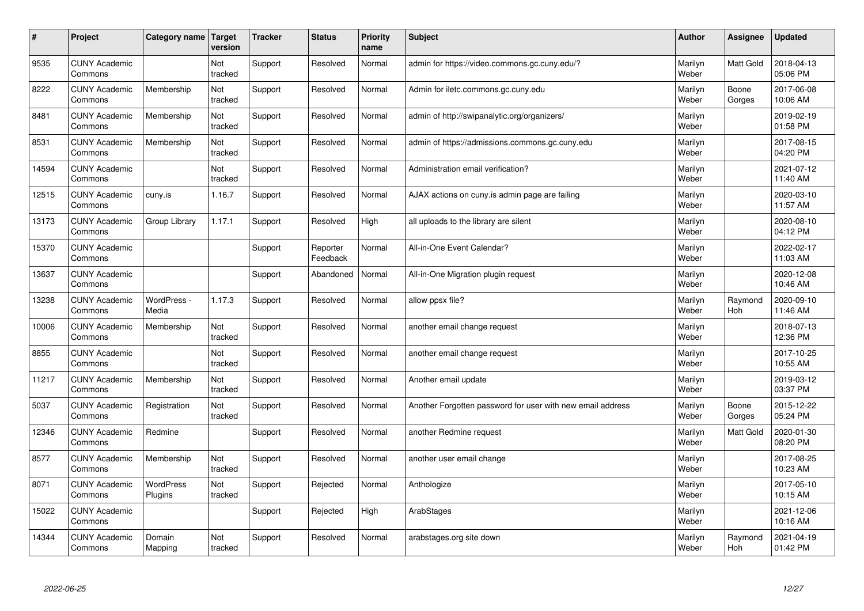| $\sharp$ | Project                         | Category name        | Target<br>version | <b>Tracker</b> | <b>Status</b>        | <b>Priority</b><br>name | <b>Subject</b>                                             | <b>Author</b>    | Assignee         | Updated                |
|----------|---------------------------------|----------------------|-------------------|----------------|----------------------|-------------------------|------------------------------------------------------------|------------------|------------------|------------------------|
| 9535     | <b>CUNY Academic</b><br>Commons |                      | Not<br>tracked    | Support        | Resolved             | Normal                  | admin for https://video.commons.gc.cuny.edu/?              | Marilyn<br>Weber | <b>Matt Gold</b> | 2018-04-13<br>05:06 PM |
| 8222     | <b>CUNY Academic</b><br>Commons | Membership           | Not<br>tracked    | Support        | Resolved             | Normal                  | Admin for iletc.commons.gc.cuny.edu                        | Marilyn<br>Weber | Boone<br>Gorges  | 2017-06-08<br>10:06 AM |
| 8481     | <b>CUNY Academic</b><br>Commons | Membership           | Not<br>tracked    | Support        | Resolved             | Normal                  | admin of http://swipanalytic.org/organizers/               | Marilyn<br>Weber |                  | 2019-02-19<br>01:58 PM |
| 8531     | <b>CUNY Academic</b><br>Commons | Membership           | Not<br>tracked    | Support        | Resolved             | Normal                  | admin of https://admissions.commons.gc.cuny.edu            | Marilyn<br>Weber |                  | 2017-08-15<br>04:20 PM |
| 14594    | <b>CUNY Academic</b><br>Commons |                      | Not<br>tracked    | Support        | Resolved             | Normal                  | Administration email verification?                         | Marilyn<br>Weber |                  | 2021-07-12<br>11:40 AM |
| 12515    | <b>CUNY Academic</b><br>Commons | cuny.is              | 1.16.7            | Support        | Resolved             | Normal                  | AJAX actions on cuny is admin page are failing             | Marilyn<br>Weber |                  | 2020-03-10<br>11:57 AM |
| 13173    | <b>CUNY Academic</b><br>Commons | Group Library        | 1.17.1            | Support        | Resolved             | High                    | all uploads to the library are silent                      | Marilyn<br>Weber |                  | 2020-08-10<br>04:12 PM |
| 15370    | <b>CUNY Academic</b><br>Commons |                      |                   | Support        | Reporter<br>Feedback | Normal                  | All-in-One Event Calendar?                                 | Marilyn<br>Weber |                  | 2022-02-17<br>11:03 AM |
| 13637    | <b>CUNY Academic</b><br>Commons |                      |                   | Support        | Abandoned            | Normal                  | All-in-One Migration plugin request                        | Marilyn<br>Weber |                  | 2020-12-08<br>10:46 AM |
| 13238    | <b>CUNY Academic</b><br>Commons | WordPress -<br>Media | 1.17.3            | Support        | Resolved             | Normal                  | allow ppsx file?                                           | Marilyn<br>Weber | Raymond<br>Hoh   | 2020-09-10<br>11:46 AM |
| 10006    | <b>CUNY Academic</b><br>Commons | Membership           | Not<br>tracked    | Support        | Resolved             | Normal                  | another email change request                               | Marilyn<br>Weber |                  | 2018-07-13<br>12:36 PM |
| 8855     | <b>CUNY Academic</b><br>Commons |                      | Not<br>tracked    | Support        | Resolved             | Normal                  | another email change request                               | Marilyn<br>Weber |                  | 2017-10-25<br>10:55 AM |
| 11217    | <b>CUNY Academic</b><br>Commons | Membership           | Not<br>tracked    | Support        | Resolved             | Normal                  | Another email update                                       | Marilyn<br>Weber |                  | 2019-03-12<br>03:37 PM |
| 5037     | <b>CUNY Academic</b><br>Commons | Registration         | Not<br>tracked    | Support        | Resolved             | Normal                  | Another Forgotten password for user with new email address | Marilyn<br>Weber | Boone<br>Gorges  | 2015-12-22<br>05:24 PM |
| 12346    | <b>CUNY Academic</b><br>Commons | Redmine              |                   | Support        | Resolved             | Normal                  | another Redmine request                                    | Marilyn<br>Weber | <b>Matt Gold</b> | 2020-01-30<br>08:20 PM |
| 8577     | <b>CUNY Academic</b><br>Commons | Membership           | Not<br>tracked    | Support        | Resolved             | Normal                  | another user email change                                  | Marilyn<br>Weber |                  | 2017-08-25<br>10:23 AM |
| 8071     | <b>CUNY Academic</b><br>Commons | WordPress<br>Plugins | Not<br>tracked    | Support        | Rejected             | Normal                  | Anthologize                                                | Marilyn<br>Weber |                  | 2017-05-10<br>10:15 AM |
| 15022    | <b>CUNY Academic</b><br>Commons |                      |                   | Support        | Rejected             | High                    | ArabStages                                                 | Marilyn<br>Weber |                  | 2021-12-06<br>10:16 AM |
| 14344    | <b>CUNY Academic</b><br>Commons | Domain<br>Mapping    | Not<br>tracked    | Support        | Resolved             | Normal                  | arabstages.org site down                                   | Marilyn<br>Weber | Raymond<br>Hoh   | 2021-04-19<br>01:42 PM |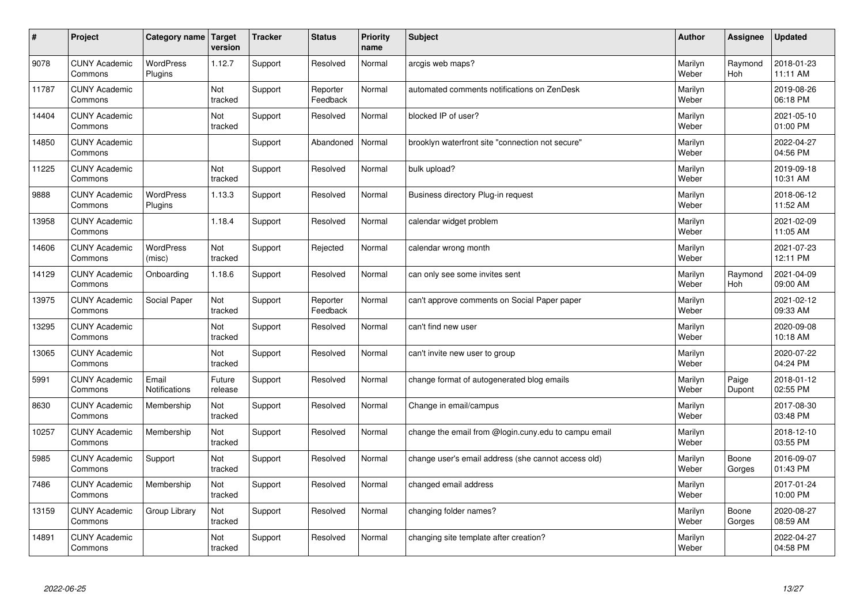| $\vert$ # | Project                         | Category name                 | Target<br>version | <b>Tracker</b> | <b>Status</b>        | <b>Priority</b><br>name | <b>Subject</b>                                       | <b>Author</b>    | Assignee              | <b>Updated</b>         |
|-----------|---------------------------------|-------------------------------|-------------------|----------------|----------------------|-------------------------|------------------------------------------------------|------------------|-----------------------|------------------------|
| 9078      | <b>CUNY Academic</b><br>Commons | <b>WordPress</b><br>Plugins   | 1.12.7            | Support        | Resolved             | Normal                  | arcgis web maps?                                     | Marilyn<br>Weber | Raymond<br><b>Hoh</b> | 2018-01-23<br>11:11 AM |
| 11787     | <b>CUNY Academic</b><br>Commons |                               | Not<br>tracked    | Support        | Reporter<br>Feedback | Normal                  | automated comments notifications on ZenDesk          | Marilyn<br>Weber |                       | 2019-08-26<br>06:18 PM |
| 14404     | <b>CUNY Academic</b><br>Commons |                               | Not<br>tracked    | Support        | Resolved             | Normal                  | blocked IP of user?                                  | Marilyn<br>Weber |                       | 2021-05-10<br>01:00 PM |
| 14850     | <b>CUNY Academic</b><br>Commons |                               |                   | Support        | Abandoned            | Normal                  | brooklyn waterfront site "connection not secure"     | Marilyn<br>Weber |                       | 2022-04-27<br>04:56 PM |
| 11225     | <b>CUNY Academic</b><br>Commons |                               | Not<br>tracked    | Support        | Resolved             | Normal                  | bulk upload?                                         | Marilyn<br>Weber |                       | 2019-09-18<br>10:31 AM |
| 9888      | <b>CUNY Academic</b><br>Commons | <b>WordPress</b><br>Plugins   | 1.13.3            | Support        | Resolved             | Normal                  | Business directory Plug-in request                   | Marilyn<br>Weber |                       | 2018-06-12<br>11:52 AM |
| 13958     | <b>CUNY Academic</b><br>Commons |                               | 1.18.4            | Support        | Resolved             | Normal                  | calendar widget problem                              | Marilyn<br>Weber |                       | 2021-02-09<br>11:05 AM |
| 14606     | <b>CUNY Academic</b><br>Commons | WordPress<br>(misc)           | Not<br>tracked    | Support        | Rejected             | Normal                  | calendar wrong month                                 | Marilyn<br>Weber |                       | 2021-07-23<br>12:11 PM |
| 14129     | <b>CUNY Academic</b><br>Commons | Onboarding                    | 1.18.6            | Support        | Resolved             | Normal                  | can only see some invites sent                       | Marilyn<br>Weber | Raymond<br>Hoh        | 2021-04-09<br>09:00 AM |
| 13975     | <b>CUNY Academic</b><br>Commons | Social Paper                  | Not<br>tracked    | Support        | Reporter<br>Feedback | Normal                  | can't approve comments on Social Paper paper         | Marilyn<br>Weber |                       | 2021-02-12<br>09:33 AM |
| 13295     | <b>CUNY Academic</b><br>Commons |                               | Not<br>tracked    | Support        | Resolved             | Normal                  | can't find new user                                  | Marilyn<br>Weber |                       | 2020-09-08<br>10:18 AM |
| 13065     | <b>CUNY Academic</b><br>Commons |                               | Not<br>tracked    | Support        | Resolved             | Normal                  | can't invite new user to group                       | Marilyn<br>Weber |                       | 2020-07-22<br>04:24 PM |
| 5991      | <b>CUNY Academic</b><br>Commons | Email<br><b>Notifications</b> | Future<br>release | Support        | Resolved             | Normal                  | change format of autogenerated blog emails           | Marilyn<br>Weber | Paige<br>Dupont       | 2018-01-12<br>02:55 PM |
| 8630      | <b>CUNY Academic</b><br>Commons | Membership                    | Not<br>tracked    | Support        | Resolved             | Normal                  | Change in email/campus                               | Marilyn<br>Weber |                       | 2017-08-30<br>03:48 PM |
| 10257     | <b>CUNY Academic</b><br>Commons | Membership                    | Not<br>tracked    | Support        | Resolved             | Normal                  | change the email from @login.cuny.edu to campu email | Marilyn<br>Weber |                       | 2018-12-10<br>03:55 PM |
| 5985      | <b>CUNY Academic</b><br>Commons | Support                       | Not<br>tracked    | Support        | Resolved             | Normal                  | change user's email address (she cannot access old)  | Marilyn<br>Weber | Boone<br>Gorges       | 2016-09-07<br>01:43 PM |
| 7486      | <b>CUNY Academic</b><br>Commons | Membership                    | Not<br>tracked    | Support        | Resolved             | Normal                  | changed email address                                | Marilyn<br>Weber |                       | 2017-01-24<br>10:00 PM |
| 13159     | <b>CUNY Academic</b><br>Commons | Group Library                 | Not<br>tracked    | Support        | Resolved             | Normal                  | changing folder names?                               | Marilyn<br>Weber | Boone<br>Gorges       | 2020-08-27<br>08:59 AM |
| 14891     | <b>CUNY Academic</b><br>Commons |                               | Not<br>tracked    | Support        | Resolved             | Normal                  | changing site template after creation?               | Marilyn<br>Weber |                       | 2022-04-27<br>04:58 PM |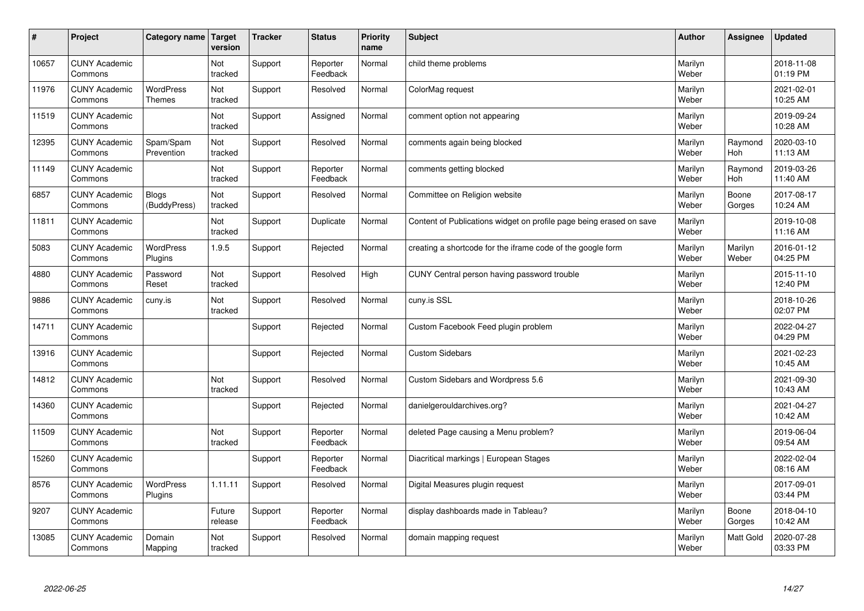| $\vert$ # | Project                         | Category name                     | <b>Target</b><br>version | <b>Tracker</b> | <b>Status</b>        | <b>Priority</b><br>name | <b>Subject</b>                                                      | <b>Author</b>    | Assignee         | <b>Updated</b>         |
|-----------|---------------------------------|-----------------------------------|--------------------------|----------------|----------------------|-------------------------|---------------------------------------------------------------------|------------------|------------------|------------------------|
| 10657     | <b>CUNY Academic</b><br>Commons |                                   | Not<br>tracked           | Support        | Reporter<br>Feedback | Normal                  | child theme problems                                                | Marilyn<br>Weber |                  | 2018-11-08<br>01:19 PM |
| 11976     | <b>CUNY Academic</b><br>Commons | <b>WordPress</b><br><b>Themes</b> | Not<br>tracked           | Support        | Resolved             | Normal                  | ColorMag request                                                    | Marilyn<br>Weber |                  | 2021-02-01<br>10:25 AM |
| 11519     | <b>CUNY Academic</b><br>Commons |                                   | Not<br>tracked           | Support        | Assigned             | Normal                  | comment option not appearing                                        | Marilyn<br>Weber |                  | 2019-09-24<br>10:28 AM |
| 12395     | <b>CUNY Academic</b><br>Commons | Spam/Spam<br>Prevention           | Not<br>tracked           | Support        | Resolved             | Normal                  | comments again being blocked                                        | Marilyn<br>Weber | Raymond<br>Hoh   | 2020-03-10<br>11:13 AM |
| 11149     | <b>CUNY Academic</b><br>Commons |                                   | <b>Not</b><br>tracked    | Support        | Reporter<br>Feedback | Normal                  | comments getting blocked                                            | Marilyn<br>Weber | Raymond<br>Hoh   | 2019-03-26<br>11:40 AM |
| 6857      | <b>CUNY Academic</b><br>Commons | <b>Blogs</b><br>(BuddyPress)      | Not<br>tracked           | Support        | Resolved             | Normal                  | Committee on Religion website                                       | Marilyn<br>Weber | Boone<br>Gorges  | 2017-08-17<br>10:24 AM |
| 11811     | <b>CUNY Academic</b><br>Commons |                                   | Not<br>tracked           | Support        | Duplicate            | Normal                  | Content of Publications widget on profile page being erased on save | Marilyn<br>Weber |                  | 2019-10-08<br>11:16 AM |
| 5083      | <b>CUNY Academic</b><br>Commons | <b>WordPress</b><br>Plugins       | 1.9.5                    | Support        | Rejected             | Normal                  | creating a shortcode for the iframe code of the google form         | Marilyn<br>Weber | Marilyn<br>Weber | 2016-01-12<br>04:25 PM |
| 4880      | <b>CUNY Academic</b><br>Commons | Password<br>Reset                 | Not<br>tracked           | Support        | Resolved             | High                    | CUNY Central person having password trouble                         | Marilyn<br>Weber |                  | 2015-11-10<br>12:40 PM |
| 9886      | <b>CUNY Academic</b><br>Commons | cuny.is                           | Not<br>tracked           | Support        | Resolved             | Normal                  | cuny.is SSL                                                         | Marilyn<br>Weber |                  | 2018-10-26<br>02:07 PM |
| 14711     | <b>CUNY Academic</b><br>Commons |                                   |                          | Support        | Rejected             | Normal                  | Custom Facebook Feed plugin problem                                 | Marilyn<br>Weber |                  | 2022-04-27<br>04:29 PM |
| 13916     | <b>CUNY Academic</b><br>Commons |                                   |                          | Support        | Rejected             | Normal                  | <b>Custom Sidebars</b>                                              | Marilyn<br>Weber |                  | 2021-02-23<br>10:45 AM |
| 14812     | <b>CUNY Academic</b><br>Commons |                                   | Not<br>tracked           | Support        | Resolved             | Normal                  | Custom Sidebars and Wordpress 5.6                                   | Marilyn<br>Weber |                  | 2021-09-30<br>10:43 AM |
| 14360     | <b>CUNY Academic</b><br>Commons |                                   |                          | Support        | Rejected             | Normal                  | danielgerouldarchives.org?                                          | Marilyn<br>Weber |                  | 2021-04-27<br>10:42 AM |
| 11509     | <b>CUNY Academic</b><br>Commons |                                   | Not<br>tracked           | Support        | Reporter<br>Feedback | Normal                  | deleted Page causing a Menu problem?                                | Marilyn<br>Weber |                  | 2019-06-04<br>09:54 AM |
| 15260     | <b>CUNY Academic</b><br>Commons |                                   |                          | Support        | Reporter<br>Feedback | Normal                  | Diacritical markings   European Stages                              | Marilyn<br>Weber |                  | 2022-02-04<br>08:16 AM |
| 8576      | <b>CUNY Academic</b><br>Commons | WordPress<br>Plugins              | 1.11.11                  | Support        | Resolved             | Normal                  | Digital Measures plugin request                                     | Marilyn<br>Weber |                  | 2017-09-01<br>03:44 PM |
| 9207      | <b>CUNY Academic</b><br>Commons |                                   | Future<br>release        | Support        | Reporter<br>Feedback | Normal                  | display dashboards made in Tableau?                                 | Marilyn<br>Weber | Boone<br>Gorges  | 2018-04-10<br>10:42 AM |
| 13085     | <b>CUNY Academic</b><br>Commons | Domain<br>Mapping                 | Not<br>tracked           | Support        | Resolved             | Normal                  | domain mapping request                                              | Marilyn<br>Weber | Matt Gold        | 2020-07-28<br>03:33 PM |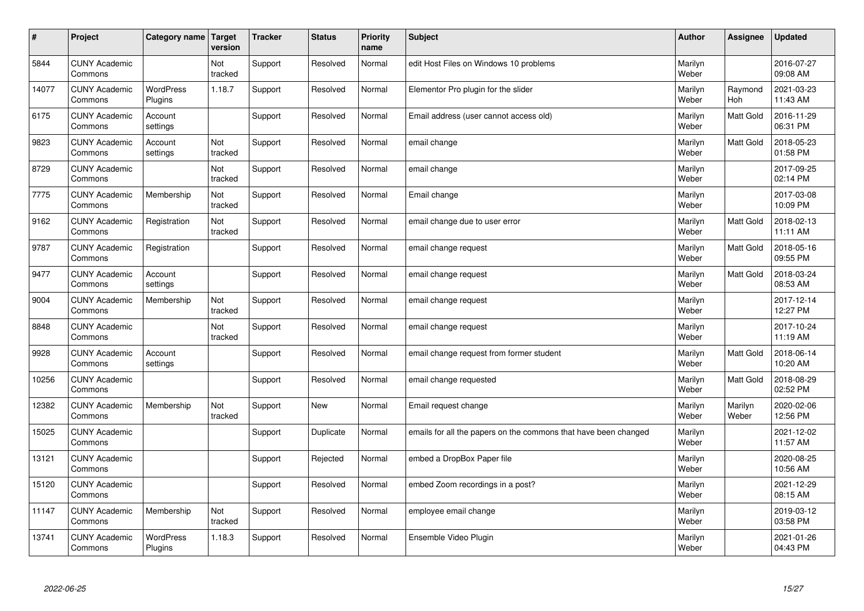| $\vert$ # | Project                         | Category name               | <b>Target</b><br>version | <b>Tracker</b> | <b>Status</b> | <b>Priority</b><br>name | <b>Subject</b>                                                  | <b>Author</b>    | <b>Assignee</b>  | <b>Updated</b>         |
|-----------|---------------------------------|-----------------------------|--------------------------|----------------|---------------|-------------------------|-----------------------------------------------------------------|------------------|------------------|------------------------|
| 5844      | <b>CUNY Academic</b><br>Commons |                             | Not<br>tracked           | Support        | Resolved      | Normal                  | edit Host Files on Windows 10 problems                          | Marilyn<br>Weber |                  | 2016-07-27<br>09:08 AM |
| 14077     | <b>CUNY Academic</b><br>Commons | <b>WordPress</b><br>Plugins | 1.18.7                   | Support        | Resolved      | Normal                  | Elementor Pro plugin for the slider                             | Marilyn<br>Weber | Raymond<br>Hoh   | 2021-03-23<br>11:43 AM |
| 6175      | <b>CUNY Academic</b><br>Commons | Account<br>settings         |                          | Support        | Resolved      | Normal                  | Email address (user cannot access old)                          | Marilyn<br>Weber | Matt Gold        | 2016-11-29<br>06:31 PM |
| 9823      | <b>CUNY Academic</b><br>Commons | Account<br>settings         | Not<br>tracked           | Support        | Resolved      | Normal                  | email change                                                    | Marilyn<br>Weber | Matt Gold        | 2018-05-23<br>01:58 PM |
| 8729      | <b>CUNY Academic</b><br>Commons |                             | Not<br>tracked           | Support        | Resolved      | Normal                  | email change                                                    | Marilyn<br>Weber |                  | 2017-09-25<br>02:14 PM |
| 7775      | <b>CUNY Academic</b><br>Commons | Membership                  | Not<br>tracked           | Support        | Resolved      | Normal                  | Email change                                                    | Marilyn<br>Weber |                  | 2017-03-08<br>10:09 PM |
| 9162      | <b>CUNY Academic</b><br>Commons | Registration                | Not<br>tracked           | Support        | Resolved      | Normal                  | email change due to user error                                  | Marilyn<br>Weber | Matt Gold        | 2018-02-13<br>11:11 AM |
| 9787      | <b>CUNY Academic</b><br>Commons | Registration                |                          | Support        | Resolved      | Normal                  | email change request                                            | Marilyn<br>Weber | Matt Gold        | 2018-05-16<br>09:55 PM |
| 9477      | <b>CUNY Academic</b><br>Commons | Account<br>settings         |                          | Support        | Resolved      | Normal                  | email change request                                            | Marilyn<br>Weber | <b>Matt Gold</b> | 2018-03-24<br>08:53 AM |
| 9004      | <b>CUNY Academic</b><br>Commons | Membership                  | Not<br>tracked           | Support        | Resolved      | Normal                  | email change request                                            | Marilyn<br>Weber |                  | 2017-12-14<br>12:27 PM |
| 8848      | <b>CUNY Academic</b><br>Commons |                             | Not<br>tracked           | Support        | Resolved      | Normal                  | email change request                                            | Marilyn<br>Weber |                  | 2017-10-24<br>11:19 AM |
| 9928      | <b>CUNY Academic</b><br>Commons | Account<br>settings         |                          | Support        | Resolved      | Normal                  | email change request from former student                        | Marilyn<br>Weber | Matt Gold        | 2018-06-14<br>10:20 AM |
| 10256     | <b>CUNY Academic</b><br>Commons |                             |                          | Support        | Resolved      | Normal                  | email change requested                                          | Marilyn<br>Weber | <b>Matt Gold</b> | 2018-08-29<br>02:52 PM |
| 12382     | <b>CUNY Academic</b><br>Commons | Membership                  | Not<br>tracked           | Support        | <b>New</b>    | Normal                  | Email request change                                            | Marilyn<br>Weber | Marilyn<br>Weber | 2020-02-06<br>12:56 PM |
| 15025     | <b>CUNY Academic</b><br>Commons |                             |                          | Support        | Duplicate     | Normal                  | emails for all the papers on the commons that have been changed | Marilyn<br>Weber |                  | 2021-12-02<br>11:57 AM |
| 13121     | <b>CUNY Academic</b><br>Commons |                             |                          | Support        | Rejected      | Normal                  | embed a DropBox Paper file                                      | Marilyn<br>Weber |                  | 2020-08-25<br>10:56 AM |
| 15120     | <b>CUNY Academic</b><br>Commons |                             |                          | Support        | Resolved      | Normal                  | embed Zoom recordings in a post?                                | Marilyn<br>Weber |                  | 2021-12-29<br>08:15 AM |
| 11147     | <b>CUNY Academic</b><br>Commons | Membership                  | Not<br>tracked           | Support        | Resolved      | Normal                  | employee email change                                           | Marilyn<br>Weber |                  | 2019-03-12<br>03:58 PM |
| 13741     | <b>CUNY Academic</b><br>Commons | <b>WordPress</b><br>Plugins | 1.18.3                   | Support        | Resolved      | Normal                  | Ensemble Video Plugin                                           | Marilyn<br>Weber |                  | 2021-01-26<br>04:43 PM |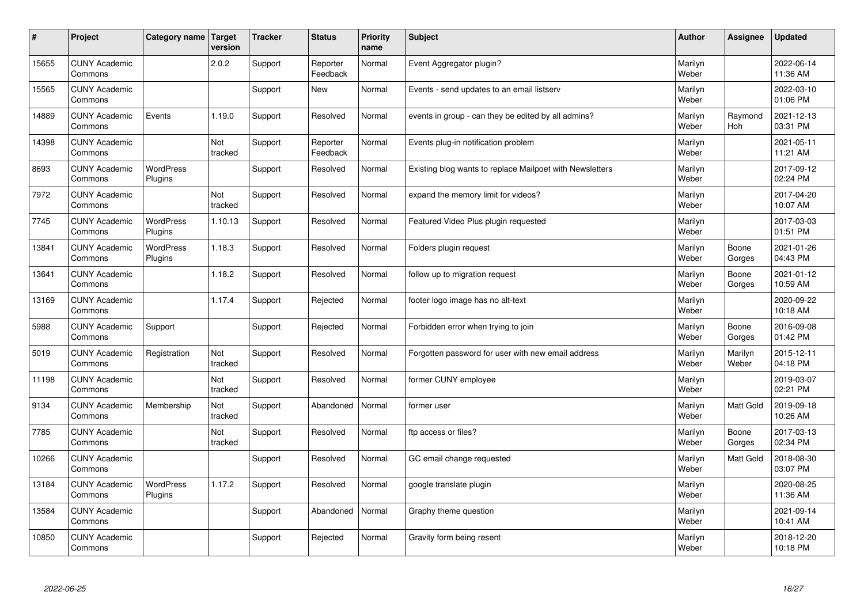| $\sharp$ | Project                         | Category name   Target      | version        | <b>Tracker</b> | <b>Status</b>        | <b>Priority</b><br>name | <b>Subject</b>                                           | <b>Author</b>    | Assignee         | <b>Updated</b>         |
|----------|---------------------------------|-----------------------------|----------------|----------------|----------------------|-------------------------|----------------------------------------------------------|------------------|------------------|------------------------|
| 15655    | <b>CUNY Academic</b><br>Commons |                             | 2.0.2          | Support        | Reporter<br>Feedback | Normal                  | Event Aggregator plugin?                                 | Marilyn<br>Weber |                  | 2022-06-14<br>11:36 AM |
| 15565    | <b>CUNY Academic</b><br>Commons |                             |                | Support        | <b>New</b>           | Normal                  | Events - send updates to an email listserv               | Marilyn<br>Weber |                  | 2022-03-10<br>01:06 PM |
| 14889    | <b>CUNY Academic</b><br>Commons | Events                      | 1.19.0         | Support        | Resolved             | Normal                  | events in group - can they be edited by all admins?      | Marilyn<br>Weber | Raymond<br>Hoh   | 2021-12-13<br>03:31 PM |
| 14398    | <b>CUNY Academic</b><br>Commons |                             | Not<br>tracked | Support        | Reporter<br>Feedback | Normal                  | Events plug-in notification problem                      | Marilyn<br>Weber |                  | 2021-05-11<br>11:21 AM |
| 8693     | <b>CUNY Academic</b><br>Commons | <b>WordPress</b><br>Plugins |                | Support        | Resolved             | Normal                  | Existing blog wants to replace Mailpoet with Newsletters | Marilyn<br>Weber |                  | 2017-09-12<br>02:24 PM |
| 7972     | <b>CUNY Academic</b><br>Commons |                             | Not<br>tracked | Support        | Resolved             | Normal                  | expand the memory limit for videos?                      | Marilyn<br>Weber |                  | 2017-04-20<br>10:07 AM |
| 7745     | <b>CUNY Academic</b><br>Commons | <b>WordPress</b><br>Plugins | 1.10.13        | Support        | Resolved             | Normal                  | Featured Video Plus plugin requested                     | Marilyn<br>Weber |                  | 2017-03-03<br>01:51 PM |
| 13841    | <b>CUNY Academic</b><br>Commons | WordPress<br>Plugins        | 1.18.3         | Support        | Resolved             | Normal                  | Folders plugin request                                   | Marilyn<br>Weber | Boone<br>Gorges  | 2021-01-26<br>04:43 PM |
| 13641    | <b>CUNY Academic</b><br>Commons |                             | 1.18.2         | Support        | Resolved             | Normal                  | follow up to migration request                           | Marilyn<br>Weber | Boone<br>Gorges  | 2021-01-12<br>10:59 AM |
| 13169    | <b>CUNY Academic</b><br>Commons |                             | 1.17.4         | Support        | Rejected             | Normal                  | footer logo image has no alt-text                        | Marilyn<br>Weber |                  | 2020-09-22<br>10:18 AM |
| 5988     | <b>CUNY Academic</b><br>Commons | Support                     |                | Support        | Rejected             | Normal                  | Forbidden error when trying to join                      | Marilyn<br>Weber | Boone<br>Gorges  | 2016-09-08<br>01:42 PM |
| 5019     | <b>CUNY Academic</b><br>Commons | Registration                | Not<br>tracked | Support        | Resolved             | Normal                  | Forgotten password for user with new email address       | Marilyn<br>Weber | Marilyn<br>Weber | 2015-12-11<br>04:18 PM |
| 11198    | <b>CUNY Academic</b><br>Commons |                             | Not<br>tracked | Support        | Resolved             | Normal                  | former CUNY employee                                     | Marilyn<br>Weber |                  | 2019-03-07<br>02:21 PM |
| 9134     | <b>CUNY Academic</b><br>Commons | Membership                  | Not<br>tracked | Support        | Abandoned            | Normal                  | former user                                              | Marilyn<br>Weber | <b>Matt Gold</b> | 2019-09-18<br>10:26 AM |
| 7785     | <b>CUNY Academic</b><br>Commons |                             | Not<br>tracked | Support        | Resolved             | Normal                  | ftp access or files?                                     | Marilyn<br>Weber | Boone<br>Gorges  | 2017-03-13<br>02:34 PM |
| 10266    | <b>CUNY Academic</b><br>Commons |                             |                | Support        | Resolved             | Normal                  | GC email change requested                                | Marilyn<br>Weber | <b>Matt Gold</b> | 2018-08-30<br>03:07 PM |
| 13184    | <b>CUNY Academic</b><br>Commons | WordPress<br>Plugins        | 1.17.2         | Support        | Resolved             | Normal                  | google translate plugin                                  | Marilyn<br>Weber |                  | 2020-08-25<br>11:36 AM |
| 13584    | <b>CUNY Academic</b><br>Commons |                             |                | Support        | Abandoned            | Normal                  | Graphy theme question                                    | Marilyn<br>Weber |                  | 2021-09-14<br>10:41 AM |
| 10850    | <b>CUNY Academic</b><br>Commons |                             |                | Support        | Rejected             | Normal                  | Gravity form being resent                                | Marilyn<br>Weber |                  | 2018-12-20<br>10:18 PM |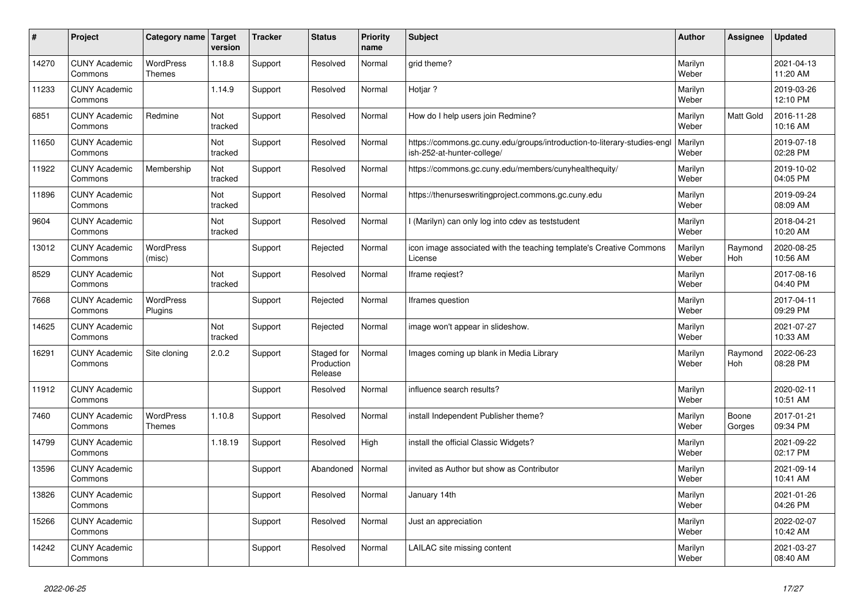| $\vert$ # | Project                         | Category name                     | Target<br>version | <b>Tracker</b> | <b>Status</b>                       | <b>Priority</b><br>name | <b>Subject</b>                                                                                        | <b>Author</b>    | Assignee              | <b>Updated</b>         |
|-----------|---------------------------------|-----------------------------------|-------------------|----------------|-------------------------------------|-------------------------|-------------------------------------------------------------------------------------------------------|------------------|-----------------------|------------------------|
| 14270     | <b>CUNY Academic</b><br>Commons | <b>WordPress</b><br><b>Themes</b> | 1.18.8            | Support        | Resolved                            | Normal                  | grid theme?                                                                                           | Marilyn<br>Weber |                       | 2021-04-13<br>11:20 AM |
| 11233     | <b>CUNY Academic</b><br>Commons |                                   | 1.14.9            | Support        | Resolved                            | Normal                  | Hotjar ?                                                                                              | Marilyn<br>Weber |                       | 2019-03-26<br>12:10 PM |
| 6851      | <b>CUNY Academic</b><br>Commons | Redmine                           | Not<br>tracked    | Support        | Resolved                            | Normal                  | How do I help users join Redmine?                                                                     | Marilyn<br>Weber | <b>Matt Gold</b>      | 2016-11-28<br>10:16 AM |
| 11650     | <b>CUNY Academic</b><br>Commons |                                   | Not<br>tracked    | Support        | Resolved                            | Normal                  | https://commons.gc.cuny.edu/groups/introduction-to-literary-studies-eng<br>ish-252-at-hunter-college/ | Marilyn<br>Weber |                       | 2019-07-18<br>02:28 PM |
| 11922     | <b>CUNY Academic</b><br>Commons | Membership                        | Not<br>tracked    | Support        | Resolved                            | Normal                  | https://commons.gc.cuny.edu/members/cunyhealthequity/                                                 | Marilyn<br>Weber |                       | 2019-10-02<br>04:05 PM |
| 11896     | <b>CUNY Academic</b><br>Commons |                                   | Not<br>tracked    | Support        | Resolved                            | Normal                  | https://thenurseswritingproject.commons.gc.cuny.edu                                                   | Marilyn<br>Weber |                       | 2019-09-24<br>08:09 AM |
| 9604      | <b>CUNY Academic</b><br>Commons |                                   | Not<br>tracked    | Support        | Resolved                            | Normal                  | I (Marilyn) can only log into cdev as teststudent                                                     | Marilyn<br>Weber |                       | 2018-04-21<br>10:20 AM |
| 13012     | <b>CUNY Academic</b><br>Commons | WordPress<br>(misc)               |                   | Support        | Rejected                            | Normal                  | icon image associated with the teaching template's Creative Commons<br>License                        | Marilyn<br>Weber | Raymond<br><b>Hoh</b> | 2020-08-25<br>10:56 AM |
| 8529      | <b>CUNY Academic</b><br>Commons |                                   | Not<br>tracked    | Support        | Resolved                            | Normal                  | Iframe regiest?                                                                                       | Marilyn<br>Weber |                       | 2017-08-16<br>04:40 PM |
| 7668      | <b>CUNY Academic</b><br>Commons | <b>WordPress</b><br>Plugins       |                   | Support        | Rejected                            | Normal                  | Iframes question                                                                                      | Marilyn<br>Weber |                       | 2017-04-11<br>09:29 PM |
| 14625     | <b>CUNY Academic</b><br>Commons |                                   | Not<br>tracked    | Support        | Rejected                            | Normal                  | image won't appear in slideshow.                                                                      | Marilyn<br>Weber |                       | 2021-07-27<br>10:33 AM |
| 16291     | <b>CUNY Academic</b><br>Commons | Site cloning                      | 2.0.2             | Support        | Staged for<br>Production<br>Release | Normal                  | Images coming up blank in Media Library                                                               | Marilyn<br>Weber | Raymond<br><b>Hoh</b> | 2022-06-23<br>08:28 PM |
| 11912     | <b>CUNY Academic</b><br>Commons |                                   |                   | Support        | Resolved                            | Normal                  | influence search results?                                                                             | Marilyn<br>Weber |                       | 2020-02-11<br>10:51 AM |
| 7460      | <b>CUNY Academic</b><br>Commons | <b>WordPress</b><br><b>Themes</b> | 1.10.8            | Support        | Resolved                            | Normal                  | install Independent Publisher theme?                                                                  | Marilyn<br>Weber | Boone<br>Gorges       | 2017-01-21<br>09:34 PM |
| 14799     | <b>CUNY Academic</b><br>Commons |                                   | 1.18.19           | Support        | Resolved                            | High                    | install the official Classic Widgets?                                                                 | Marilyn<br>Weber |                       | 2021-09-22<br>02:17 PM |
| 13596     | <b>CUNY Academic</b><br>Commons |                                   |                   | Support        | Abandoned                           | Normal                  | invited as Author but show as Contributor                                                             | Marilyn<br>Weber |                       | 2021-09-14<br>10:41 AM |
| 13826     | <b>CUNY Academic</b><br>Commons |                                   |                   | Support        | Resolved                            | Normal                  | January 14th                                                                                          | Marilyn<br>Weber |                       | 2021-01-26<br>04:26 PM |
| 15266     | <b>CUNY Academic</b><br>Commons |                                   |                   | Support        | Resolved                            | Normal                  | Just an appreciation                                                                                  | Marilyn<br>Weber |                       | 2022-02-07<br>10:42 AM |
| 14242     | <b>CUNY Academic</b><br>Commons |                                   |                   | Support        | Resolved                            | Normal                  | LAILAC site missing content                                                                           | Marilyn<br>Weber |                       | 2021-03-27<br>08:40 AM |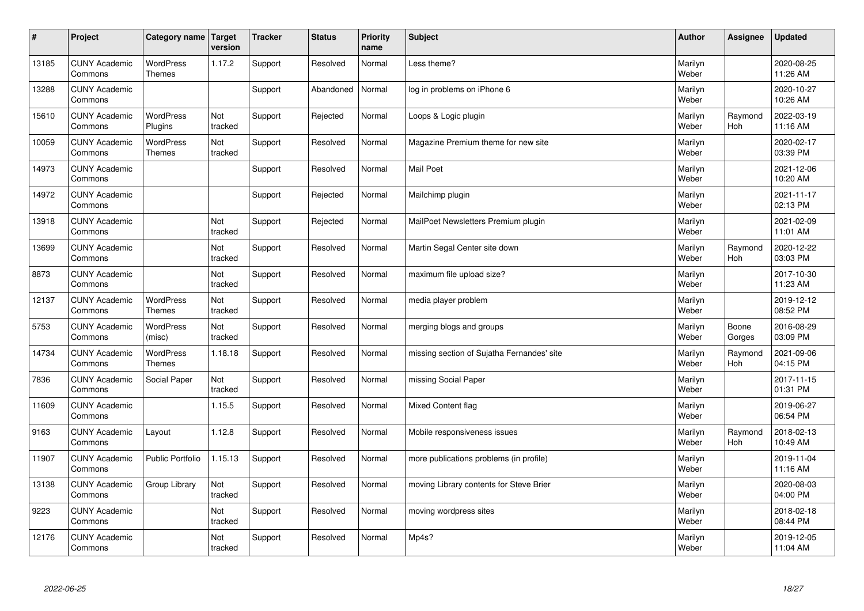| $\sharp$ | Project                         | Category name   Target            | version        | <b>Tracker</b> | <b>Status</b> | <b>Priority</b><br>name | <b>Subject</b>                             | <b>Author</b>    | <b>Assignee</b>       | <b>Updated</b>         |
|----------|---------------------------------|-----------------------------------|----------------|----------------|---------------|-------------------------|--------------------------------------------|------------------|-----------------------|------------------------|
| 13185    | <b>CUNY Academic</b><br>Commons | <b>WordPress</b><br><b>Themes</b> | 1.17.2         | Support        | Resolved      | Normal                  | Less theme?                                | Marilyn<br>Weber |                       | 2020-08-25<br>11:26 AM |
| 13288    | <b>CUNY Academic</b><br>Commons |                                   |                | Support        | Abandoned     | Normal                  | log in problems on iPhone 6                | Marilyn<br>Weber |                       | 2020-10-27<br>10:26 AM |
| 15610    | <b>CUNY Academic</b><br>Commons | <b>WordPress</b><br>Plugins       | Not<br>tracked | Support        | Rejected      | Normal                  | Loops & Logic plugin                       | Marilyn<br>Weber | Raymond<br>Hoh        | 2022-03-19<br>11:16 AM |
| 10059    | <b>CUNY Academic</b><br>Commons | <b>WordPress</b><br><b>Themes</b> | Not<br>tracked | Support        | Resolved      | Normal                  | Magazine Premium theme for new site        | Marilyn<br>Weber |                       | 2020-02-17<br>03:39 PM |
| 14973    | <b>CUNY Academic</b><br>Commons |                                   |                | Support        | Resolved      | Normal                  | <b>Mail Poet</b>                           | Marilyn<br>Weber |                       | 2021-12-06<br>10:20 AM |
| 14972    | <b>CUNY Academic</b><br>Commons |                                   |                | Support        | Rejected      | Normal                  | Mailchimp plugin                           | Marilyn<br>Weber |                       | 2021-11-17<br>02:13 PM |
| 13918    | <b>CUNY Academic</b><br>Commons |                                   | Not<br>tracked | Support        | Rejected      | Normal                  | MailPoet Newsletters Premium plugin        | Marilyn<br>Weber |                       | 2021-02-09<br>11:01 AM |
| 13699    | <b>CUNY Academic</b><br>Commons |                                   | Not<br>tracked | Support        | Resolved      | Normal                  | Martin Segal Center site down              | Marilyn<br>Weber | Raymond<br>Hoh        | 2020-12-22<br>03:03 PM |
| 8873     | <b>CUNY Academic</b><br>Commons |                                   | Not<br>tracked | Support        | Resolved      | Normal                  | maximum file upload size?                  | Marilyn<br>Weber |                       | 2017-10-30<br>11:23 AM |
| 12137    | <b>CUNY Academic</b><br>Commons | <b>WordPress</b><br><b>Themes</b> | Not<br>tracked | Support        | Resolved      | Normal                  | media player problem                       | Marilyn<br>Weber |                       | 2019-12-12<br>08:52 PM |
| 5753     | <b>CUNY Academic</b><br>Commons | <b>WordPress</b><br>(misc)        | Not<br>tracked | Support        | Resolved      | Normal                  | merging blogs and groups                   | Marilyn<br>Weber | Boone<br>Gorges       | 2016-08-29<br>03:09 PM |
| 14734    | <b>CUNY Academic</b><br>Commons | WordPress<br><b>Themes</b>        | 1.18.18        | Support        | Resolved      | Normal                  | missing section of Sujatha Fernandes' site | Marilyn<br>Weber | Raymond<br><b>Hoh</b> | 2021-09-06<br>04:15 PM |
| 7836     | <b>CUNY Academic</b><br>Commons | Social Paper                      | Not<br>tracked | Support        | Resolved      | Normal                  | missing Social Paper                       | Marilyn<br>Weber |                       | 2017-11-15<br>01:31 PM |
| 11609    | <b>CUNY Academic</b><br>Commons |                                   | 1.15.5         | Support        | Resolved      | Normal                  | Mixed Content flag                         | Marilyn<br>Weber |                       | 2019-06-27<br>06:54 PM |
| 9163     | <b>CUNY Academic</b><br>Commons | Layout                            | 1.12.8         | Support        | Resolved      | Normal                  | Mobile responsiveness issues               | Marilyn<br>Weber | Raymond<br><b>Hoh</b> | 2018-02-13<br>10:49 AM |
| 11907    | <b>CUNY Academic</b><br>Commons | <b>Public Portfolio</b>           | 1.15.13        | Support        | Resolved      | Normal                  | more publications problems (in profile)    | Marilyn<br>Weber |                       | 2019-11-04<br>11:16 AM |
| 13138    | <b>CUNY Academic</b><br>Commons | Group Library                     | Not<br>tracked | Support        | Resolved      | Normal                  | moving Library contents for Steve Brier    | Marilyn<br>Weber |                       | 2020-08-03<br>04:00 PM |
| 9223     | <b>CUNY Academic</b><br>Commons |                                   | Not<br>tracked | Support        | Resolved      | Normal                  | moving wordpress sites                     | Marilyn<br>Weber |                       | 2018-02-18<br>08:44 PM |
| 12176    | <b>CUNY Academic</b><br>Commons |                                   | Not<br>tracked | Support        | Resolved      | Normal                  | Mp4s?                                      | Marilyn<br>Weber |                       | 2019-12-05<br>11:04 AM |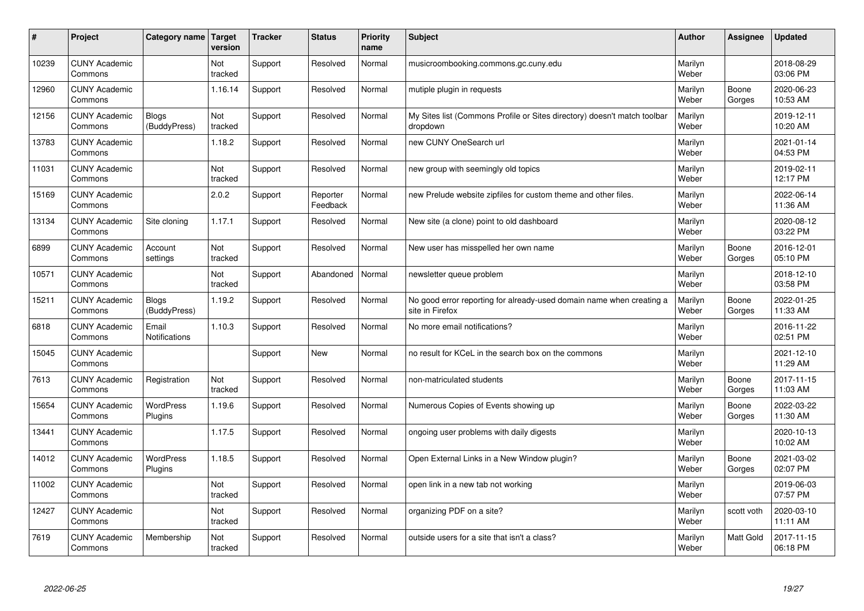| #     | Project                         | Category name   Target       | version        | <b>Tracker</b> | <b>Status</b>        | <b>Priority</b><br>name | <b>Subject</b>                                                                          | <b>Author</b>    | Assignee         | Updated                |
|-------|---------------------------------|------------------------------|----------------|----------------|----------------------|-------------------------|-----------------------------------------------------------------------------------------|------------------|------------------|------------------------|
| 10239 | <b>CUNY Academic</b><br>Commons |                              | Not<br>tracked | Support        | Resolved             | Normal                  | musicroombooking.commons.gc.cuny.edu                                                    | Marilyn<br>Weber |                  | 2018-08-29<br>03:06 PM |
| 12960 | <b>CUNY Academic</b><br>Commons |                              | 1.16.14        | Support        | Resolved             | Normal                  | mutiple plugin in requests                                                              | Marilyn<br>Weber | Boone<br>Gorges  | 2020-06-23<br>10:53 AM |
| 12156 | <b>CUNY Academic</b><br>Commons | <b>Blogs</b><br>(BuddyPress) | Not<br>tracked | Support        | Resolved             | Normal                  | My Sites list (Commons Profile or Sites directory) doesn't match toolbar<br>dropdown    | Marilyn<br>Weber |                  | 2019-12-11<br>10:20 AM |
| 13783 | <b>CUNY Academic</b><br>Commons |                              | 1.18.2         | Support        | Resolved             | Normal                  | new CUNY OneSearch url                                                                  | Marilyn<br>Weber |                  | 2021-01-14<br>04:53 PM |
| 11031 | <b>CUNY Academic</b><br>Commons |                              | Not<br>tracked | Support        | Resolved             | Normal                  | new group with seemingly old topics                                                     | Marilyn<br>Weber |                  | 2019-02-11<br>12:17 PM |
| 15169 | <b>CUNY Academic</b><br>Commons |                              | 2.0.2          | Support        | Reporter<br>Feedback | Normal                  | new Prelude website zipfiles for custom theme and other files.                          | Marilyn<br>Weber |                  | 2022-06-14<br>11:36 AM |
| 13134 | <b>CUNY Academic</b><br>Commons | Site cloning                 | 1.17.1         | Support        | Resolved             | Normal                  | New site (a clone) point to old dashboard                                               | Marilyn<br>Weber |                  | 2020-08-12<br>03:22 PM |
| 6899  | <b>CUNY Academic</b><br>Commons | Account<br>settings          | Not<br>tracked | Support        | Resolved             | Normal                  | New user has misspelled her own name                                                    | Marilyn<br>Weber | Boone<br>Gorges  | 2016-12-01<br>05:10 PM |
| 10571 | <b>CUNY Academic</b><br>Commons |                              | Not<br>tracked | Support        | Abandoned            | Normal                  | newsletter queue problem                                                                | Marilyn<br>Weber |                  | 2018-12-10<br>03:58 PM |
| 15211 | <b>CUNY Academic</b><br>Commons | <b>Blogs</b><br>(BuddyPress) | 1.19.2         | Support        | Resolved             | Normal                  | No good error reporting for already-used domain name when creating a<br>site in Firefox | Marilyn<br>Weber | Boone<br>Gorges  | 2022-01-25<br>11:33 AM |
| 6818  | <b>CUNY Academic</b><br>Commons | Email<br>Notifications       | 1.10.3         | Support        | Resolved             | Normal                  | No more email notifications?                                                            | Marilyn<br>Weber |                  | 2016-11-22<br>02:51 PM |
| 15045 | <b>CUNY Academic</b><br>Commons |                              |                | Support        | <b>New</b>           | Normal                  | no result for KCeL in the search box on the commons                                     | Marilyn<br>Weber |                  | 2021-12-10<br>11:29 AM |
| 7613  | <b>CUNY Academic</b><br>Commons | Registration                 | Not<br>tracked | Support        | Resolved             | Normal                  | non-matriculated students                                                               | Marilyn<br>Weber | Boone<br>Gorges  | 2017-11-15<br>11:03 AM |
| 15654 | <b>CUNY Academic</b><br>Commons | WordPress<br>Plugins         | 1.19.6         | Support        | Resolved             | Normal                  | Numerous Copies of Events showing up                                                    | Marilyn<br>Weber | Boone<br>Gorges  | 2022-03-22<br>11:30 AM |
| 13441 | <b>CUNY Academic</b><br>Commons |                              | 1.17.5         | Support        | Resolved             | Normal                  | ongoing user problems with daily digests                                                | Marilyn<br>Weber |                  | 2020-10-13<br>10:02 AM |
| 14012 | <b>CUNY Academic</b><br>Commons | <b>WordPress</b><br>Plugins  | 1.18.5         | Support        | Resolved             | Normal                  | Open External Links in a New Window plugin?                                             | Marilyn<br>Weber | Boone<br>Gorges  | 2021-03-02<br>02:07 PM |
| 11002 | <b>CUNY Academic</b><br>Commons |                              | Not<br>tracked | Support        | Resolved             | Normal                  | open link in a new tab not working                                                      | Marilyn<br>Weber |                  | 2019-06-03<br>07:57 PM |
| 12427 | <b>CUNY Academic</b><br>Commons |                              | Not<br>tracked | Support        | Resolved             | Normal                  | organizing PDF on a site?                                                               | Marilyn<br>Weber | scott voth       | 2020-03-10<br>11:11 AM |
| 7619  | <b>CUNY Academic</b><br>Commons | Membership                   | Not<br>tracked | Support        | Resolved             | Normal                  | outside users for a site that isn't a class?                                            | Marilyn<br>Weber | <b>Matt Gold</b> | 2017-11-15<br>06:18 PM |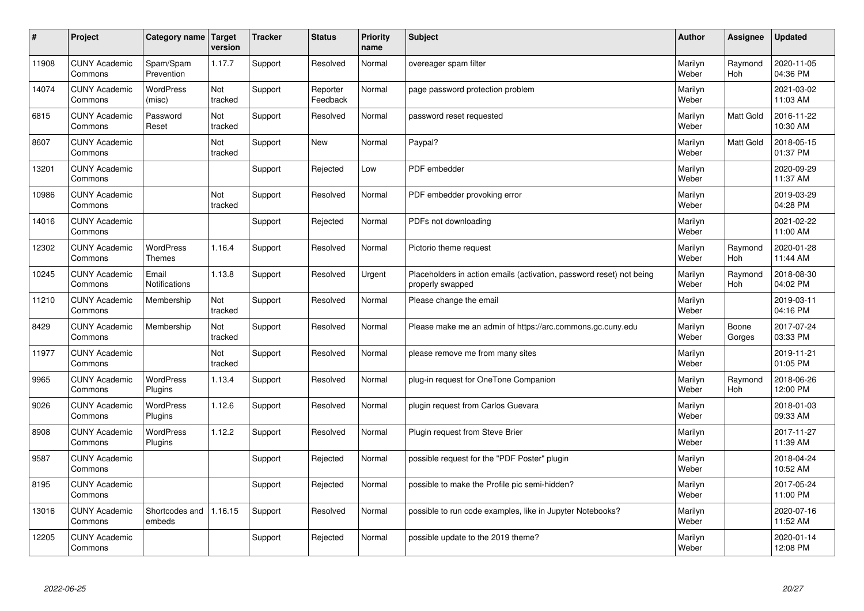| #     | Project                         | Category name   Target        | version        | <b>Tracker</b> | <b>Status</b>        | <b>Priority</b><br>name | <b>Subject</b>                                                                           | <b>Author</b>    | Assignee              | <b>Updated</b>         |
|-------|---------------------------------|-------------------------------|----------------|----------------|----------------------|-------------------------|------------------------------------------------------------------------------------------|------------------|-----------------------|------------------------|
| 11908 | <b>CUNY Academic</b><br>Commons | Spam/Spam<br>Prevention       | 1.17.7         | Support        | Resolved             | Normal                  | overeager spam filter                                                                    | Marilyn<br>Weber | Raymond<br><b>Hoh</b> | 2020-11-05<br>04:36 PM |
| 14074 | <b>CUNY Academic</b><br>Commons | WordPress<br>(misc)           | Not<br>tracked | Support        | Reporter<br>Feedback | Normal                  | page password protection problem                                                         | Marilyn<br>Weber |                       | 2021-03-02<br>11:03 AM |
| 6815  | <b>CUNY Academic</b><br>Commons | Password<br>Reset             | Not<br>tracked | Support        | Resolved             | Normal                  | password reset requested                                                                 | Marilyn<br>Weber | <b>Matt Gold</b>      | 2016-11-22<br>10:30 AM |
| 8607  | <b>CUNY Academic</b><br>Commons |                               | Not<br>tracked | Support        | <b>New</b>           | Normal                  | Paypal?                                                                                  | Marilyn<br>Weber | Matt Gold             | 2018-05-15<br>01:37 PM |
| 13201 | <b>CUNY Academic</b><br>Commons |                               |                | Support        | Rejected             | Low                     | PDF embedder                                                                             | Marilyn<br>Weber |                       | 2020-09-29<br>11:37 AM |
| 10986 | <b>CUNY Academic</b><br>Commons |                               | Not<br>tracked | Support        | Resolved             | Normal                  | PDF embedder provoking error                                                             | Marilyn<br>Weber |                       | 2019-03-29<br>04:28 PM |
| 14016 | <b>CUNY Academic</b><br>Commons |                               |                | Support        | Rejected             | Normal                  | PDFs not downloading                                                                     | Marilyn<br>Weber |                       | 2021-02-22<br>11:00 AM |
| 12302 | <b>CUNY Academic</b><br>Commons | WordPress<br><b>Themes</b>    | 1.16.4         | Support        | Resolved             | Normal                  | Pictorio theme request                                                                   | Marilyn<br>Weber | Raymond<br><b>Hoh</b> | 2020-01-28<br>11:44 AM |
| 10245 | <b>CUNY Academic</b><br>Commons | Email<br><b>Notifications</b> | 1.13.8         | Support        | Resolved             | Urgent                  | Placeholders in action emails (activation, password reset) not being<br>properly swapped | Marilyn<br>Weber | Raymond<br>Hoh        | 2018-08-30<br>04:02 PM |
| 11210 | <b>CUNY Academic</b><br>Commons | Membership                    | Not<br>tracked | Support        | Resolved             | Normal                  | Please change the email                                                                  | Marilyn<br>Weber |                       | 2019-03-11<br>04:16 PM |
| 8429  | <b>CUNY Academic</b><br>Commons | Membership                    | Not<br>tracked | Support        | Resolved             | Normal                  | Please make me an admin of https://arc.commons.gc.cuny.edu                               | Marilyn<br>Weber | Boone<br>Gorges       | 2017-07-24<br>03:33 PM |
| 11977 | <b>CUNY Academic</b><br>Commons |                               | Not<br>tracked | Support        | Resolved             | Normal                  | please remove me from many sites                                                         | Marilyn<br>Weber |                       | 2019-11-21<br>01:05 PM |
| 9965  | <b>CUNY Academic</b><br>Commons | <b>WordPress</b><br>Plugins   | 1.13.4         | Support        | Resolved             | Normal                  | plug-in request for OneTone Companion                                                    | Marilyn<br>Weber | Raymond<br>Hoh        | 2018-06-26<br>12:00 PM |
| 9026  | <b>CUNY Academic</b><br>Commons | WordPress<br>Plugins          | 1.12.6         | Support        | Resolved             | Normal                  | plugin request from Carlos Guevara                                                       | Marilyn<br>Weber |                       | 2018-01-03<br>09:33 AM |
| 8908  | <b>CUNY Academic</b><br>Commons | <b>WordPress</b><br>Plugins   | 1.12.2         | Support        | Resolved             | Normal                  | Plugin request from Steve Brier                                                          | Marilyn<br>Weber |                       | 2017-11-27<br>11:39 AM |
| 9587  | <b>CUNY Academic</b><br>Commons |                               |                | Support        | Rejected             | Normal                  | possible request for the "PDF Poster" plugin                                             | Marilyn<br>Weber |                       | 2018-04-24<br>10:52 AM |
| 8195  | <b>CUNY Academic</b><br>Commons |                               |                | Support        | Rejected             | Normal                  | possible to make the Profile pic semi-hidden?                                            | Marilyn<br>Weber |                       | 2017-05-24<br>11:00 PM |
| 13016 | <b>CUNY Academic</b><br>Commons | Shortcodes and<br>embeds      | 1.16.15        | Support        | Resolved             | Normal                  | possible to run code examples, like in Jupyter Notebooks?                                | Marilyn<br>Weber |                       | 2020-07-16<br>11:52 AM |
| 12205 | <b>CUNY Academic</b><br>Commons |                               |                | Support        | Rejected             | Normal                  | possible update to the 2019 theme?                                                       | Marilyn<br>Weber |                       | 2020-01-14<br>12:08 PM |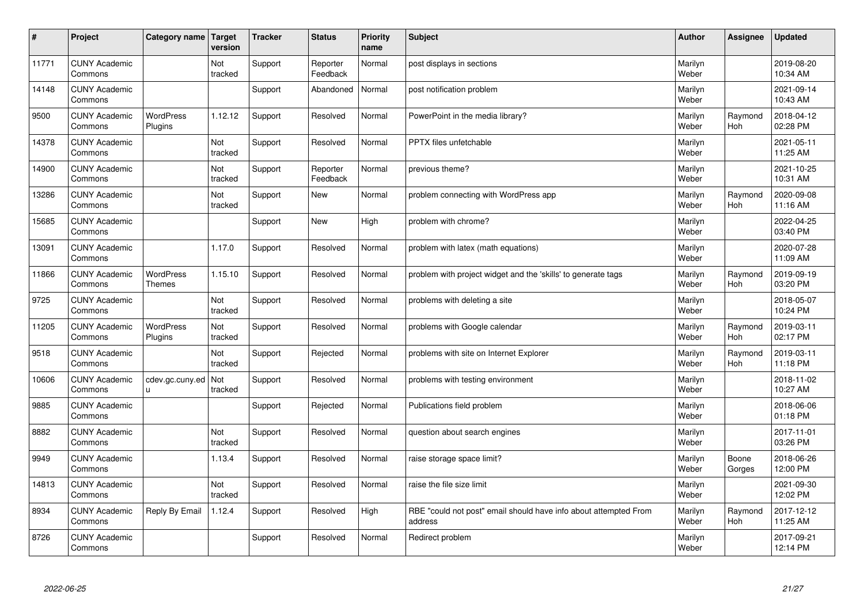| $\sharp$ | Project                         | Category name   Target      | version        | <b>Tracker</b> | <b>Status</b>        | <b>Priority</b><br>name | <b>Subject</b>                                                              | <b>Author</b>    | Assignee              | <b>Updated</b>         |
|----------|---------------------------------|-----------------------------|----------------|----------------|----------------------|-------------------------|-----------------------------------------------------------------------------|------------------|-----------------------|------------------------|
| 11771    | <b>CUNY Academic</b><br>Commons |                             | Not<br>tracked | Support        | Reporter<br>Feedback | Normal                  | post displays in sections                                                   | Marilyn<br>Weber |                       | 2019-08-20<br>10:34 AM |
| 14148    | <b>CUNY Academic</b><br>Commons |                             |                | Support        | Abandoned            | Normal                  | post notification problem                                                   | Marilyn<br>Weber |                       | 2021-09-14<br>10:43 AM |
| 9500     | <b>CUNY Academic</b><br>Commons | <b>WordPress</b><br>Plugins | 1.12.12        | Support        | Resolved             | Normal                  | PowerPoint in the media library?                                            | Marilyn<br>Weber | Raymond<br>Hoh        | 2018-04-12<br>02:28 PM |
| 14378    | <b>CUNY Academic</b><br>Commons |                             | Not<br>tracked | Support        | Resolved             | Normal                  | <b>PPTX</b> files unfetchable                                               | Marilyn<br>Weber |                       | 2021-05-11<br>11:25 AM |
| 14900    | <b>CUNY Academic</b><br>Commons |                             | Not<br>tracked | Support        | Reporter<br>Feedback | Normal                  | previous theme?                                                             | Marilyn<br>Weber |                       | 2021-10-25<br>10:31 AM |
| 13286    | <b>CUNY Academic</b><br>Commons |                             | Not<br>tracked | Support        | <b>New</b>           | Normal                  | problem connecting with WordPress app                                       | Marilyn<br>Weber | Raymond<br>Hoh        | 2020-09-08<br>11:16 AM |
| 15685    | <b>CUNY Academic</b><br>Commons |                             |                | Support        | <b>New</b>           | High                    | problem with chrome?                                                        | Marilyn<br>Weber |                       | 2022-04-25<br>03:40 PM |
| 13091    | <b>CUNY Academic</b><br>Commons |                             | 1.17.0         | Support        | Resolved             | Normal                  | problem with latex (math equations)                                         | Marilyn<br>Weber |                       | 2020-07-28<br>11:09 AM |
| 11866    | <b>CUNY Academic</b><br>Commons | WordPress<br><b>Themes</b>  | 1.15.10        | Support        | Resolved             | Normal                  | problem with project widget and the 'skills' to generate tags               | Marilyn<br>Weber | Raymond<br>Hoh        | 2019-09-19<br>03:20 PM |
| 9725     | <b>CUNY Academic</b><br>Commons |                             | Not<br>tracked | Support        | Resolved             | Normal                  | problems with deleting a site                                               | Marilyn<br>Weber |                       | 2018-05-07<br>10:24 PM |
| 11205    | <b>CUNY Academic</b><br>Commons | <b>WordPress</b><br>Plugins | Not<br>tracked | Support        | Resolved             | Normal                  | problems with Google calendar                                               | Marilyn<br>Weber | Raymond<br><b>Hoh</b> | 2019-03-11<br>02:17 PM |
| 9518     | <b>CUNY Academic</b><br>Commons |                             | Not<br>tracked | Support        | Rejected             | Normal                  | problems with site on Internet Explorer                                     | Marilyn<br>Weber | Raymond<br><b>Hoh</b> | 2019-03-11<br>11:18 PM |
| 10606    | <b>CUNY Academic</b><br>Commons | cdev.gc.cuny.ed<br>u.       | Not<br>tracked | Support        | Resolved             | Normal                  | problems with testing environment                                           | Marilyn<br>Weber |                       | 2018-11-02<br>10:27 AM |
| 9885     | <b>CUNY Academic</b><br>Commons |                             |                | Support        | Rejected             | Normal                  | Publications field problem                                                  | Marilyn<br>Weber |                       | 2018-06-06<br>01:18 PM |
| 8882     | <b>CUNY Academic</b><br>Commons |                             | Not<br>tracked | Support        | Resolved             | Normal                  | question about search engines                                               | Marilyn<br>Weber |                       | 2017-11-01<br>03:26 PM |
| 9949     | <b>CUNY Academic</b><br>Commons |                             | 1.13.4         | Support        | Resolved             | Normal                  | raise storage space limit?                                                  | Marilyn<br>Weber | Boone<br>Gorges       | 2018-06-26<br>12:00 PM |
| 14813    | <b>CUNY Academic</b><br>Commons |                             | Not<br>tracked | Support        | Resolved             | Normal                  | raise the file size limit                                                   | Marilyn<br>Weber |                       | 2021-09-30<br>12:02 PM |
| 8934     | <b>CUNY Academic</b><br>Commons | Reply By Email              | 1.12.4         | Support        | Resolved             | High                    | RBE "could not post" email should have info about attempted From<br>address | Marilyn<br>Weber | Raymond<br><b>Hoh</b> | 2017-12-12<br>11:25 AM |
| 8726     | <b>CUNY Academic</b><br>Commons |                             |                | Support        | Resolved             | Normal                  | Redirect problem                                                            | Marilyn<br>Weber |                       | 2017-09-21<br>12:14 PM |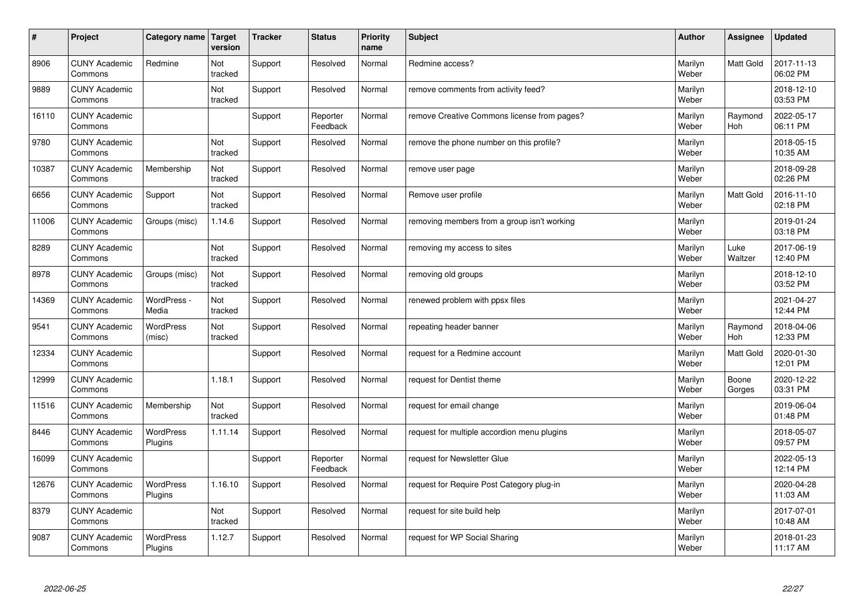| #     | Project                         | Category name   Target      | version        | <b>Tracker</b> | <b>Status</b>        | <b>Priority</b><br>name | <b>Subject</b>                              | <b>Author</b>    | Assignee              | Updated                |
|-------|---------------------------------|-----------------------------|----------------|----------------|----------------------|-------------------------|---------------------------------------------|------------------|-----------------------|------------------------|
| 8906  | <b>CUNY Academic</b><br>Commons | Redmine                     | Not<br>tracked | Support        | Resolved             | Normal                  | Redmine access?                             | Marilyn<br>Weber | <b>Matt Gold</b>      | 2017-11-13<br>06:02 PM |
| 9889  | <b>CUNY Academic</b><br>Commons |                             | Not<br>tracked | Support        | Resolved             | Normal                  | remove comments from activity feed?         | Marilyn<br>Weber |                       | 2018-12-10<br>03:53 PM |
| 16110 | <b>CUNY Academic</b><br>Commons |                             |                | Support        | Reporter<br>Feedback | Normal                  | remove Creative Commons license from pages? | Marilyn<br>Weber | Raymond<br><b>Hoh</b> | 2022-05-17<br>06:11 PM |
| 9780  | <b>CUNY Academic</b><br>Commons |                             | Not<br>tracked | Support        | Resolved             | Normal                  | remove the phone number on this profile?    | Marilyn<br>Weber |                       | 2018-05-15<br>10:35 AM |
| 10387 | <b>CUNY Academic</b><br>Commons | Membership                  | Not<br>tracked | Support        | Resolved             | Normal                  | remove user page                            | Marilyn<br>Weber |                       | 2018-09-28<br>02:26 PM |
| 6656  | <b>CUNY Academic</b><br>Commons | Support                     | Not<br>tracked | Support        | Resolved             | Normal                  | Remove user profile                         | Marilyn<br>Weber | <b>Matt Gold</b>      | 2016-11-10<br>02:18 PM |
| 11006 | <b>CUNY Academic</b><br>Commons | Groups (misc)               | 1.14.6         | Support        | Resolved             | Normal                  | removing members from a group isn't working | Marilyn<br>Weber |                       | 2019-01-24<br>03:18 PM |
| 8289  | <b>CUNY Academic</b><br>Commons |                             | Not<br>tracked | Support        | Resolved             | Normal                  | removing my access to sites                 | Marilyn<br>Weber | Luke<br>Waltzer       | 2017-06-19<br>12:40 PM |
| 8978  | <b>CUNY Academic</b><br>Commons | Groups (misc)               | Not<br>tracked | Support        | Resolved             | Normal                  | removing old groups                         | Marilyn<br>Weber |                       | 2018-12-10<br>03:52 PM |
| 14369 | <b>CUNY Academic</b><br>Commons | WordPress -<br>Media        | Not<br>tracked | Support        | Resolved             | Normal                  | renewed problem with ppsx files             | Marilyn<br>Weber |                       | 2021-04-27<br>12:44 PM |
| 9541  | <b>CUNY Academic</b><br>Commons | WordPress<br>(misc)         | Not<br>tracked | Support        | Resolved             | Normal                  | repeating header banner                     | Marilyn<br>Weber | Raymond<br>Hoh        | 2018-04-06<br>12:33 PM |
| 12334 | <b>CUNY Academic</b><br>Commons |                             |                | Support        | Resolved             | Normal                  | request for a Redmine account               | Marilyn<br>Weber | <b>Matt Gold</b>      | 2020-01-30<br>12:01 PM |
| 12999 | <b>CUNY Academic</b><br>Commons |                             | 1.18.1         | Support        | Resolved             | Normal                  | request for Dentist theme                   | Marilyn<br>Weber | Boone<br>Gorges       | 2020-12-22<br>03:31 PM |
| 11516 | <b>CUNY Academic</b><br>Commons | Membership                  | Not<br>tracked | Support        | Resolved             | Normal                  | request for email change                    | Marilyn<br>Weber |                       | 2019-06-04<br>01:48 PM |
| 8446  | <b>CUNY Academic</b><br>Commons | <b>WordPress</b><br>Plugins | 1.11.14        | Support        | Resolved             | Normal                  | request for multiple accordion menu plugins | Marilyn<br>Weber |                       | 2018-05-07<br>09:57 PM |
| 16099 | <b>CUNY Academic</b><br>Commons |                             |                | Support        | Reporter<br>Feedback | Normal                  | request for Newsletter Glue                 | Marilyn<br>Weber |                       | 2022-05-13<br>12:14 PM |
| 12676 | <b>CUNY Academic</b><br>Commons | WordPress<br>Plugins        | 1.16.10        | Support        | Resolved             | Normal                  | request for Require Post Category plug-in   | Marilyn<br>Weber |                       | 2020-04-28<br>11:03 AM |
| 8379  | <b>CUNY Academic</b><br>Commons |                             | Not<br>tracked | Support        | Resolved             | Normal                  | request for site build help                 | Marilyn<br>Weber |                       | 2017-07-01<br>10:48 AM |
| 9087  | <b>CUNY Academic</b><br>Commons | <b>WordPress</b><br>Plugins | 1.12.7         | Support        | Resolved             | Normal                  | request for WP Social Sharing               | Marilyn<br>Weber |                       | 2018-01-23<br>11:17 AM |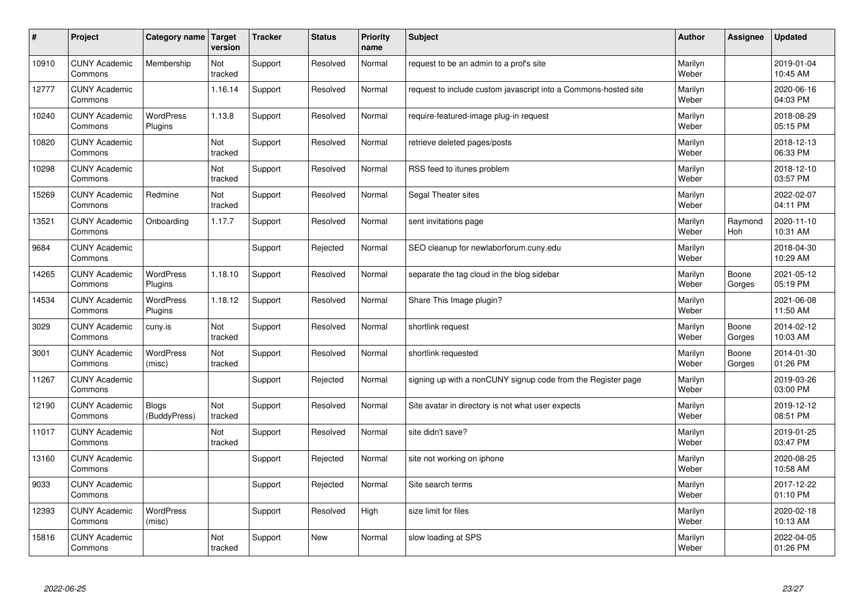| $\pmb{\sharp}$ | Project                         | Category name                | Target<br>version | <b>Tracker</b> | <b>Status</b> | <b>Priority</b><br>name | <b>Subject</b>                                                  | <b>Author</b>    | Assignee        | <b>Updated</b>         |
|----------------|---------------------------------|------------------------------|-------------------|----------------|---------------|-------------------------|-----------------------------------------------------------------|------------------|-----------------|------------------------|
| 10910          | <b>CUNY Academic</b><br>Commons | Membership                   | Not<br>tracked    | Support        | Resolved      | Normal                  | request to be an admin to a prof's site                         | Marilyn<br>Weber |                 | 2019-01-04<br>10:45 AM |
| 12777          | <b>CUNY Academic</b><br>Commons |                              | 1.16.14           | Support        | Resolved      | Normal                  | request to include custom javascript into a Commons-hosted site | Marilyn<br>Weber |                 | 2020-06-16<br>04:03 PM |
| 10240          | <b>CUNY Academic</b><br>Commons | <b>WordPress</b><br>Plugins  | 1.13.8            | Support        | Resolved      | Normal                  | require-featured-image plug-in request                          | Marilyn<br>Weber |                 | 2018-08-29<br>05:15 PM |
| 10820          | <b>CUNY Academic</b><br>Commons |                              | Not<br>tracked    | Support        | Resolved      | Normal                  | retrieve deleted pages/posts                                    | Marilyn<br>Weber |                 | 2018-12-13<br>06:33 PM |
| 10298          | <b>CUNY Academic</b><br>Commons |                              | Not<br>tracked    | Support        | Resolved      | Normal                  | RSS feed to itunes problem                                      | Marilyn<br>Weber |                 | 2018-12-10<br>03:57 PM |
| 15269          | <b>CUNY Academic</b><br>Commons | Redmine                      | Not<br>tracked    | Support        | Resolved      | Normal                  | Segal Theater sites                                             | Marilyn<br>Weber |                 | 2022-02-07<br>04:11 PM |
| 13521          | <b>CUNY Academic</b><br>Commons | Onboarding                   | 1.17.7            | Support        | Resolved      | Normal                  | sent invitations page                                           | Marilyn<br>Weber | Raymond<br>Hoh  | 2020-11-10<br>10:31 AM |
| 9684           | <b>CUNY Academic</b><br>Commons |                              |                   | Support        | Rejected      | Normal                  | SEO cleanup for newlaborforum.cuny.edu                          | Marilyn<br>Weber |                 | 2018-04-30<br>10:29 AM |
| 14265          | <b>CUNY Academic</b><br>Commons | <b>WordPress</b><br>Plugins  | 1.18.10           | Support        | Resolved      | Normal                  | separate the tag cloud in the blog sidebar                      | Marilyn<br>Weber | Boone<br>Gorges | 2021-05-12<br>05:19 PM |
| 14534          | <b>CUNY Academic</b><br>Commons | WordPress<br>Plugins         | 1.18.12           | Support        | Resolved      | Normal                  | Share This Image plugin?                                        | Marilyn<br>Weber |                 | 2021-06-08<br>11:50 AM |
| 3029           | <b>CUNY Academic</b><br>Commons | cuny.is                      | Not<br>tracked    | Support        | Resolved      | Normal                  | shortlink request                                               | Marilyn<br>Weber | Boone<br>Gorges | 2014-02-12<br>10:03 AM |
| 3001           | <b>CUNY Academic</b><br>Commons | <b>WordPress</b><br>(misc)   | Not<br>tracked    | Support        | Resolved      | Normal                  | shortlink requested                                             | Marilyn<br>Weber | Boone<br>Gorges | 2014-01-30<br>01:26 PM |
| 11267          | <b>CUNY Academic</b><br>Commons |                              |                   | Support        | Rejected      | Normal                  | signing up with a nonCUNY signup code from the Register page    | Marilyn<br>Weber |                 | 2019-03-26<br>03:00 PM |
| 12190          | <b>CUNY Academic</b><br>Commons | <b>Blogs</b><br>(BuddyPress) | Not<br>tracked    | Support        | Resolved      | Normal                  | Site avatar in directory is not what user expects               | Marilyn<br>Weber |                 | 2019-12-12<br>08:51 PM |
| 11017          | <b>CUNY Academic</b><br>Commons |                              | Not<br>tracked    | Support        | Resolved      | Normal                  | site didn't save?                                               | Marilyn<br>Weber |                 | 2019-01-25<br>03:47 PM |
| 13160          | <b>CUNY Academic</b><br>Commons |                              |                   | Support        | Rejected      | Normal                  | site not working on iphone                                      | Marilyn<br>Weber |                 | 2020-08-25<br>10:58 AM |
| 9033           | <b>CUNY Academic</b><br>Commons |                              |                   | Support        | Rejected      | Normal                  | Site search terms                                               | Marilyn<br>Weber |                 | 2017-12-22<br>01:10 PM |
| 12393          | <b>CUNY Academic</b><br>Commons | <b>WordPress</b><br>(misc)   |                   | Support        | Resolved      | High                    | size limit for files                                            | Marilyn<br>Weber |                 | 2020-02-18<br>10:13 AM |
| 15816          | <b>CUNY Academic</b><br>Commons |                              | Not<br>tracked    | Support        | New           | Normal                  | slow loading at SPS                                             | Marilyn<br>Weber |                 | 2022-04-05<br>01:26 PM |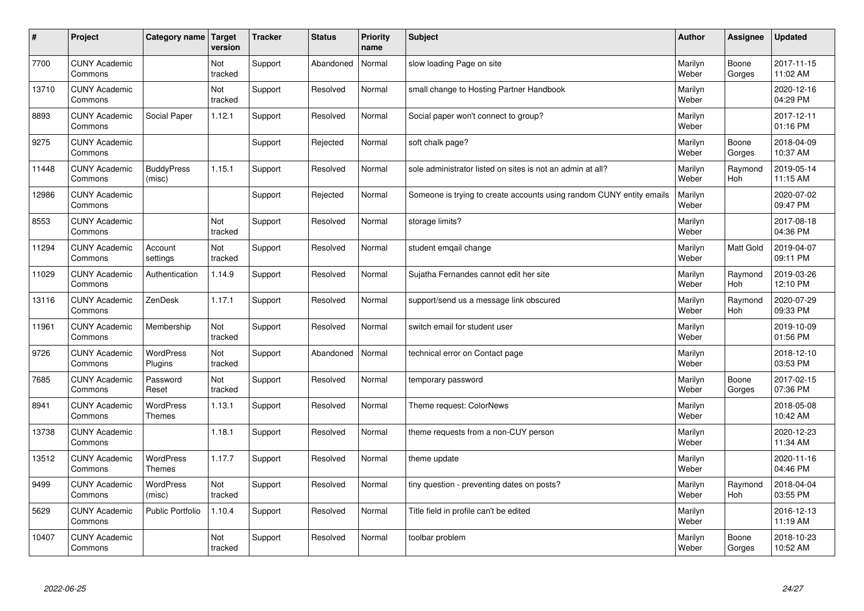| $\sharp$ | Project                         | Category name   Target            | version        | <b>Tracker</b> | <b>Status</b> | <b>Priority</b><br>name | <b>Subject</b>                                                       | <b>Author</b>    | Assignee              | <b>Updated</b>         |
|----------|---------------------------------|-----------------------------------|----------------|----------------|---------------|-------------------------|----------------------------------------------------------------------|------------------|-----------------------|------------------------|
| 7700     | <b>CUNY Academic</b><br>Commons |                                   | Not<br>tracked | Support        | Abandoned     | Normal                  | slow loading Page on site                                            | Marilyn<br>Weber | Boone<br>Gorges       | 2017-11-15<br>11:02 AM |
| 13710    | <b>CUNY Academic</b><br>Commons |                                   | Not<br>tracked | Support        | Resolved      | Normal                  | small change to Hosting Partner Handbook                             | Marilyn<br>Weber |                       | 2020-12-16<br>04:29 PM |
| 8893     | <b>CUNY Academic</b><br>Commons | Social Paper                      | 1.12.1         | Support        | Resolved      | Normal                  | Social paper won't connect to group?                                 | Marilyn<br>Weber |                       | 2017-12-11<br>01:16 PM |
| 9275     | <b>CUNY Academic</b><br>Commons |                                   |                | Support        | Rejected      | Normal                  | soft chalk page?                                                     | Marilyn<br>Weber | Boone<br>Gorges       | 2018-04-09<br>10:37 AM |
| 11448    | <b>CUNY Academic</b><br>Commons | <b>BuddyPress</b><br>(misc)       | 1.15.1         | Support        | Resolved      | Normal                  | sole administrator listed on sites is not an admin at all?           | Marilyn<br>Weber | Raymond<br>Hoh        | 2019-05-14<br>11:15 AM |
| 12986    | <b>CUNY Academic</b><br>Commons |                                   |                | Support        | Rejected      | Normal                  | Someone is trying to create accounts using random CUNY entity emails | Marilyn<br>Weber |                       | 2020-07-02<br>09:47 PM |
| 8553     | <b>CUNY Academic</b><br>Commons |                                   | Not<br>tracked | Support        | Resolved      | Normal                  | storage limits?                                                      | Marilyn<br>Weber |                       | 2017-08-18<br>04:36 PM |
| 11294    | <b>CUNY Academic</b><br>Commons | Account<br>settings               | Not<br>tracked | Support        | Resolved      | Normal                  | student emgail change                                                | Marilyn<br>Weber | Matt Gold             | 2019-04-07<br>09:11 PM |
| 11029    | <b>CUNY Academic</b><br>Commons | Authentication                    | 1.14.9         | Support        | Resolved      | Normal                  | Sujatha Fernandes cannot edit her site                               | Marilyn<br>Weber | Raymond<br>Hoh        | 2019-03-26<br>12:10 PM |
| 13116    | <b>CUNY Academic</b><br>Commons | ZenDesk                           | 1.17.1         | Support        | Resolved      | Normal                  | support/send us a message link obscured                              | Marilyn<br>Weber | Raymond<br><b>Hoh</b> | 2020-07-29<br>09:33 PM |
| 11961    | <b>CUNY Academic</b><br>Commons | Membership                        | Not<br>tracked | Support        | Resolved      | Normal                  | switch email for student user                                        | Marilyn<br>Weber |                       | 2019-10-09<br>01:56 PM |
| 9726     | <b>CUNY Academic</b><br>Commons | <b>WordPress</b><br>Plugins       | Not<br>tracked | Support        | Abandoned     | Normal                  | technical error on Contact page                                      | Marilyn<br>Weber |                       | 2018-12-10<br>03:53 PM |
| 7685     | <b>CUNY Academic</b><br>Commons | Password<br>Reset                 | Not<br>tracked | Support        | Resolved      | Normal                  | temporary password                                                   | Marilyn<br>Weber | Boone<br>Gorges       | 2017-02-15<br>07:36 PM |
| 8941     | <b>CUNY Academic</b><br>Commons | WordPress<br><b>Themes</b>        | 1.13.1         | Support        | Resolved      | Normal                  | Theme request: ColorNews                                             | Marilyn<br>Weber |                       | 2018-05-08<br>10:42 AM |
| 13738    | <b>CUNY Academic</b><br>Commons |                                   | 1.18.1         | Support        | Resolved      | Normal                  | theme requests from a non-CUY person                                 | Marilyn<br>Weber |                       | 2020-12-23<br>11:34 AM |
| 13512    | <b>CUNY Academic</b><br>Commons | <b>WordPress</b><br><b>Themes</b> | 1.17.7         | Support        | Resolved      | Normal                  | theme update                                                         | Marilyn<br>Weber |                       | 2020-11-16<br>04:46 PM |
| 9499     | <b>CUNY Academic</b><br>Commons | WordPress<br>(misc)               | Not<br>tracked | Support        | Resolved      | Normal                  | tiny question - preventing dates on posts?                           | Marilyn<br>Weber | Raymond<br>Hoh        | 2018-04-04<br>03:55 PM |
| 5629     | <b>CUNY Academic</b><br>Commons | Public Portfolio                  | 1.10.4         | Support        | Resolved      | Normal                  | Title field in profile can't be edited                               | Marilyn<br>Weber |                       | 2016-12-13<br>11:19 AM |
| 10407    | <b>CUNY Academic</b><br>Commons |                                   | Not<br>tracked | Support        | Resolved      | Normal                  | toolbar problem                                                      | Marilyn<br>Weber | Boone<br>Gorges       | 2018-10-23<br>10:52 AM |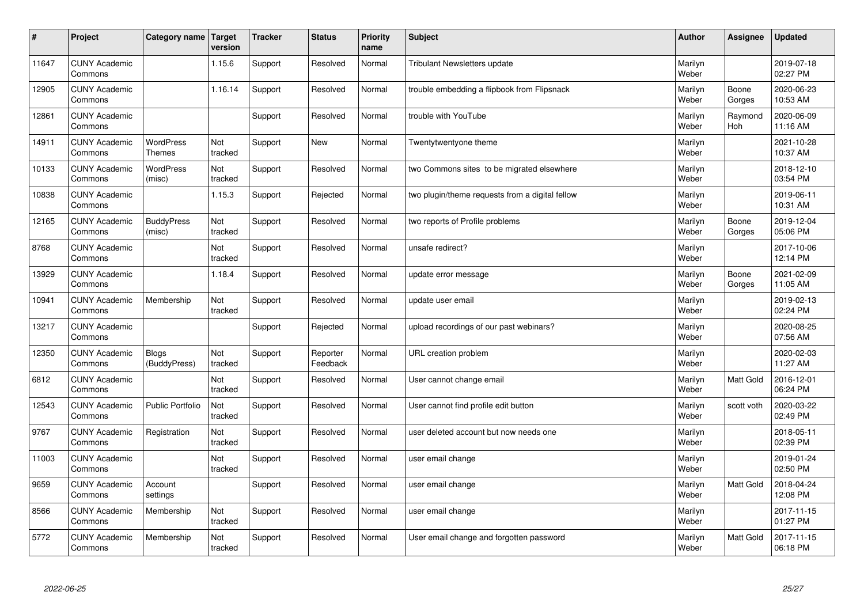| #     | Project                         | Category name   Target            | version        | <b>Tracker</b> | <b>Status</b>        | <b>Priority</b><br>name | <b>Subject</b>                                  | <b>Author</b>    | Assignee         | <b>Updated</b>         |
|-------|---------------------------------|-----------------------------------|----------------|----------------|----------------------|-------------------------|-------------------------------------------------|------------------|------------------|------------------------|
| 11647 | <b>CUNY Academic</b><br>Commons |                                   | 1.15.6         | Support        | Resolved             | Normal                  | <b>Tribulant Newsletters update</b>             | Marilyn<br>Weber |                  | 2019-07-18<br>02:27 PM |
| 12905 | <b>CUNY Academic</b><br>Commons |                                   | 1.16.14        | Support        | Resolved             | Normal                  | trouble embedding a flipbook from Flipsnack     | Marilyn<br>Weber | Boone<br>Gorges  | 2020-06-23<br>10:53 AM |
| 12861 | <b>CUNY Academic</b><br>Commons |                                   |                | Support        | Resolved             | Normal                  | trouble with YouTube                            | Marilyn<br>Weber | Raymond<br>Hoh   | 2020-06-09<br>11:16 AM |
| 14911 | <b>CUNY Academic</b><br>Commons | <b>WordPress</b><br><b>Themes</b> | Not<br>tracked | Support        | <b>New</b>           | Normal                  | Twentytwentyone theme                           | Marilyn<br>Weber |                  | 2021-10-28<br>10:37 AM |
| 10133 | <b>CUNY Academic</b><br>Commons | <b>WordPress</b><br>(misc)        | Not<br>tracked | Support        | Resolved             | Normal                  | two Commons sites to be migrated elsewhere      | Marilyn<br>Weber |                  | 2018-12-10<br>03:54 PM |
| 10838 | <b>CUNY Academic</b><br>Commons |                                   | 1.15.3         | Support        | Rejected             | Normal                  | two plugin/theme requests from a digital fellow | Marilyn<br>Weber |                  | 2019-06-11<br>10:31 AM |
| 12165 | <b>CUNY Academic</b><br>Commons | <b>BuddyPress</b><br>(misc)       | Not<br>tracked | Support        | Resolved             | Normal                  | two reports of Profile problems                 | Marilyn<br>Weber | Boone<br>Gorges  | 2019-12-04<br>05:06 PM |
| 8768  | <b>CUNY Academic</b><br>Commons |                                   | Not<br>tracked | Support        | Resolved             | Normal                  | unsafe redirect?                                | Marilyn<br>Weber |                  | 2017-10-06<br>12:14 PM |
| 13929 | <b>CUNY Academic</b><br>Commons |                                   | 1.18.4         | Support        | Resolved             | Normal                  | update error message                            | Marilyn<br>Weber | Boone<br>Gorges  | 2021-02-09<br>11:05 AM |
| 10941 | <b>CUNY Academic</b><br>Commons | Membership                        | Not<br>tracked | Support        | Resolved             | Normal                  | update user email                               | Marilyn<br>Weber |                  | 2019-02-13<br>02:24 PM |
| 13217 | <b>CUNY Academic</b><br>Commons |                                   |                | Support        | Rejected             | Normal                  | upload recordings of our past webinars?         | Marilyn<br>Weber |                  | 2020-08-25<br>07:56 AM |
| 12350 | <b>CUNY Academic</b><br>Commons | <b>Blogs</b><br>(BuddyPress)      | Not<br>tracked | Support        | Reporter<br>Feedback | Normal                  | URL creation problem                            | Marilyn<br>Weber |                  | 2020-02-03<br>11:27 AM |
| 6812  | <b>CUNY Academic</b><br>Commons |                                   | Not<br>tracked | Support        | Resolved             | Normal                  | User cannot change email                        | Marilyn<br>Weber | <b>Matt Gold</b> | 2016-12-01<br>06:24 PM |
| 12543 | <b>CUNY Academic</b><br>Commons | <b>Public Portfolio</b>           | Not<br>tracked | Support        | Resolved             | Normal                  | User cannot find profile edit button            | Marilyn<br>Weber | scott voth       | 2020-03-22<br>02:49 PM |
| 9767  | <b>CUNY Academic</b><br>Commons | Registration                      | Not<br>tracked | Support        | Resolved             | Normal                  | user deleted account but now needs one          | Marilyn<br>Weber |                  | 2018-05-11<br>02:39 PM |
| 11003 | <b>CUNY Academic</b><br>Commons |                                   | Not<br>tracked | Support        | Resolved             | Normal                  | user email change                               | Marilyn<br>Weber |                  | 2019-01-24<br>02:50 PM |
| 9659  | <b>CUNY Academic</b><br>Commons | Account<br>settings               |                | Support        | Resolved             | Normal                  | user email change                               | Marilyn<br>Weber | <b>Matt Gold</b> | 2018-04-24<br>12:08 PM |
| 8566  | <b>CUNY Academic</b><br>Commons | Membership                        | Not<br>tracked | Support        | Resolved             | Normal                  | user email change                               | Marilyn<br>Weber |                  | 2017-11-15<br>01:27 PM |
| 5772  | <b>CUNY Academic</b><br>Commons | Membership                        | Not<br>tracked | Support        | Resolved             | Normal                  | User email change and forgotten password        | Marilyn<br>Weber | <b>Matt Gold</b> | 2017-11-15<br>06:18 PM |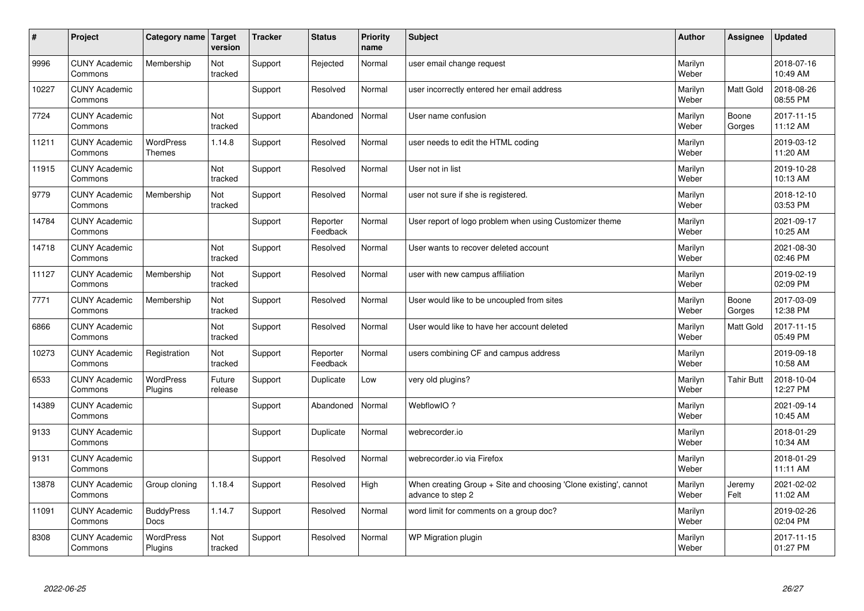| $\sharp$ | Project                         | Category name   Target             | version           | <b>Tracker</b> | <b>Status</b>        | <b>Priority</b><br>name | <b>Subject</b>                                                                        | <b>Author</b>    | Assignee          | <b>Updated</b>         |
|----------|---------------------------------|------------------------------------|-------------------|----------------|----------------------|-------------------------|---------------------------------------------------------------------------------------|------------------|-------------------|------------------------|
| 9996     | <b>CUNY Academic</b><br>Commons | Membership                         | Not<br>tracked    | Support        | Rejected             | Normal                  | user email change request                                                             | Marilyn<br>Weber |                   | 2018-07-16<br>10:49 AM |
| 10227    | <b>CUNY Academic</b><br>Commons |                                    |                   | Support        | Resolved             | Normal                  | user incorrectly entered her email address                                            | Marilyn<br>Weber | <b>Matt Gold</b>  | 2018-08-26<br>08:55 PM |
| 7724     | <b>CUNY Academic</b><br>Commons |                                    | Not<br>tracked    | Support        | Abandoned            | Normal                  | User name confusion                                                                   | Marilyn<br>Weber | Boone<br>Gorges   | 2017-11-15<br>11:12 AM |
| 11211    | <b>CUNY Academic</b><br>Commons | <b>WordPress</b><br><b>Themes</b>  | 1.14.8            | Support        | Resolved             | Normal                  | user needs to edit the HTML coding                                                    | Marilyn<br>Weber |                   | 2019-03-12<br>11:20 AM |
| 11915    | <b>CUNY Academic</b><br>Commons |                                    | Not<br>tracked    | Support        | Resolved             | Normal                  | User not in list                                                                      | Marilyn<br>Weber |                   | 2019-10-28<br>10:13 AM |
| 9779     | <b>CUNY Academic</b><br>Commons | Membership                         | Not<br>tracked    | Support        | Resolved             | Normal                  | user not sure if she is registered.                                                   | Marilyn<br>Weber |                   | 2018-12-10<br>03:53 PM |
| 14784    | <b>CUNY Academic</b><br>Commons |                                    |                   | Support        | Reporter<br>Feedback | Normal                  | User report of logo problem when using Customizer theme                               | Marilyn<br>Weber |                   | 2021-09-17<br>10:25 AM |
| 14718    | <b>CUNY Academic</b><br>Commons |                                    | Not<br>tracked    | Support        | Resolved             | Normal                  | User wants to recover deleted account                                                 | Marilyn<br>Weber |                   | 2021-08-30<br>02:46 PM |
| 11127    | <b>CUNY Academic</b><br>Commons | Membership                         | Not<br>tracked    | Support        | Resolved             | Normal                  | user with new campus affiliation                                                      | Marilyn<br>Weber |                   | 2019-02-19<br>02:09 PM |
| 7771     | <b>CUNY Academic</b><br>Commons | Membership                         | Not<br>tracked    | Support        | Resolved             | Normal                  | User would like to be uncoupled from sites                                            | Marilyn<br>Weber | Boone<br>Gorges   | 2017-03-09<br>12:38 PM |
| 6866     | <b>CUNY Academic</b><br>Commons |                                    | Not<br>tracked    | Support        | Resolved             | Normal                  | User would like to have her account deleted                                           | Marilyn<br>Weber | <b>Matt Gold</b>  | 2017-11-15<br>05:49 PM |
| 10273    | <b>CUNY Academic</b><br>Commons | Registration                       | Not<br>tracked    | Support        | Reporter<br>Feedback | Normal                  | users combining CF and campus address                                                 | Marilyn<br>Weber |                   | 2019-09-18<br>10:58 AM |
| 6533     | <b>CUNY Academic</b><br>Commons | <b>WordPress</b><br>Plugins        | Future<br>release | Support        | Duplicate            | Low                     | very old plugins?                                                                     | Marilyn<br>Weber | <b>Tahir Butt</b> | 2018-10-04<br>12:27 PM |
| 14389    | <b>CUNY Academic</b><br>Commons |                                    |                   | Support        | Abandoned            | Normal                  | WebflowIO?                                                                            | Marilyn<br>Weber |                   | 2021-09-14<br>10:45 AM |
| 9133     | <b>CUNY Academic</b><br>Commons |                                    |                   | Support        | Duplicate            | Normal                  | webrecorder.io                                                                        | Marilyn<br>Weber |                   | 2018-01-29<br>10:34 AM |
| 9131     | <b>CUNY Academic</b><br>Commons |                                    |                   | Support        | Resolved             | Normal                  | webrecorder.io via Firefox                                                            | Marilyn<br>Weber |                   | 2018-01-29<br>11:11 AM |
| 13878    | <b>CUNY Academic</b><br>Commons | Group cloning                      | 1.18.4            | Support        | Resolved             | High                    | When creating Group + Site and choosing 'Clone existing', cannot<br>advance to step 2 | Marilyn<br>Weber | Jeremy<br>Felt    | 2021-02-02<br>11:02 AM |
| 11091    | <b>CUNY Academic</b><br>Commons | <b>BuddyPress</b><br>Docs          | 1.14.7            | Support        | Resolved             | Normal                  | word limit for comments on a group doc?                                               | Marilyn<br>Weber |                   | 2019-02-26<br>02:04 PM |
| 8308     | <b>CUNY Academic</b><br>Commons | <b>WordPress</b><br><b>Plugins</b> | Not<br>tracked    | Support        | Resolved             | Normal                  | WP Migration plugin                                                                   | Marilyn<br>Weber |                   | 2017-11-15<br>01:27 PM |